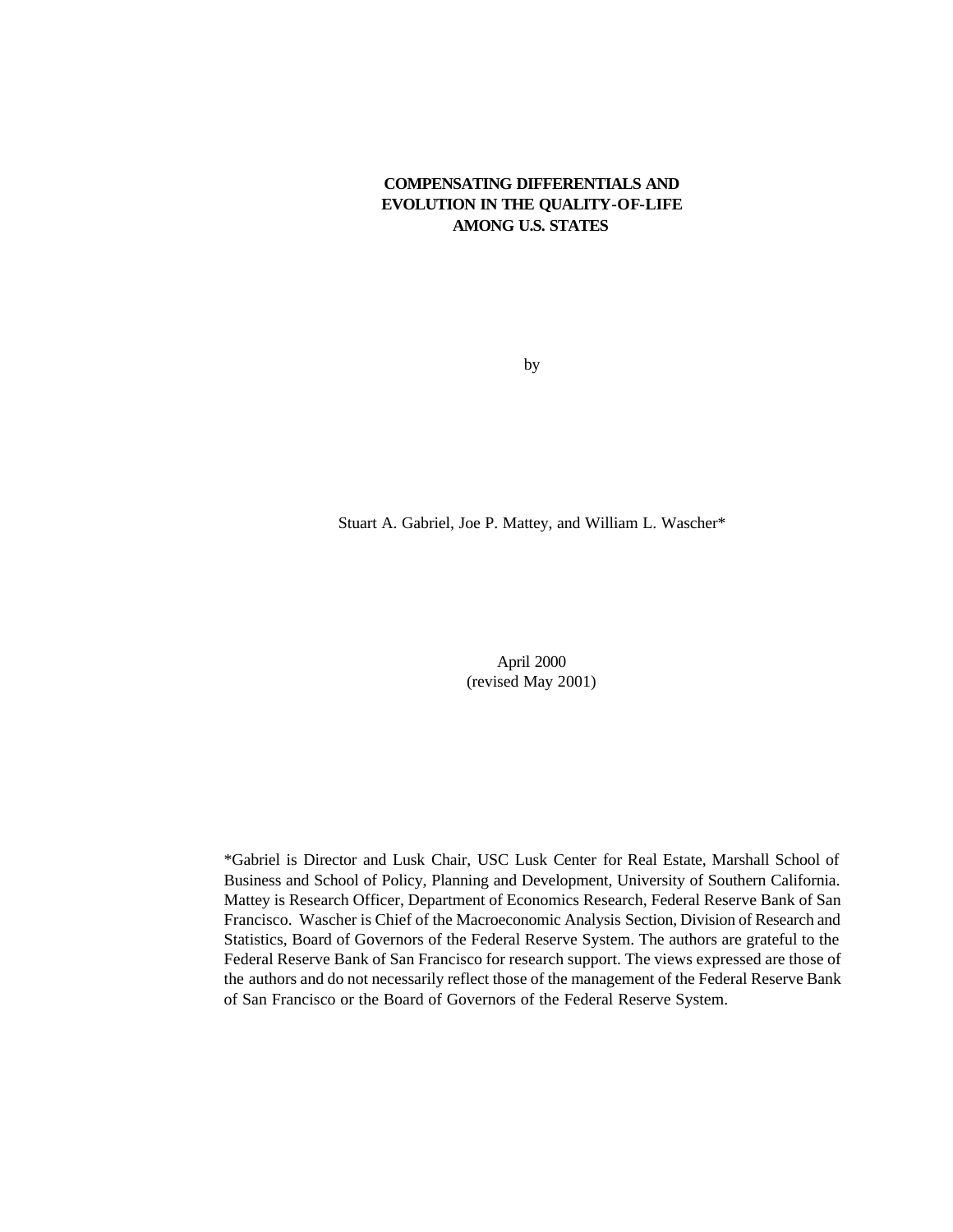# **COMPENSATING DIFFERENTIALS AND EVOLUTION IN THE QUALITY-OF-LIFE AMONG U.S. STATES**

by

Stuart A. Gabriel, Joe P. Mattey, and William L. Wascher\*

April 2000 (revised May 2001)

\*Gabriel is Director and Lusk Chair, USC Lusk Center for Real Estate, Marshall School of Business and School of Policy, Planning and Development, University of Southern California. Mattey is Research Officer, Department of Economics Research, Federal Reserve Bank of San Francisco. Wascher is Chief of the Macroeconomic Analysis Section, Division of Research and Statistics, Board of Governors of the Federal Reserve System. The authors are grateful to the Federal Reserve Bank of San Francisco for research support. The views expressed are those of the authors and do not necessarily reflect those of the management of the Federal Reserve Bank of San Francisco or the Board of Governors of the Federal Reserve System.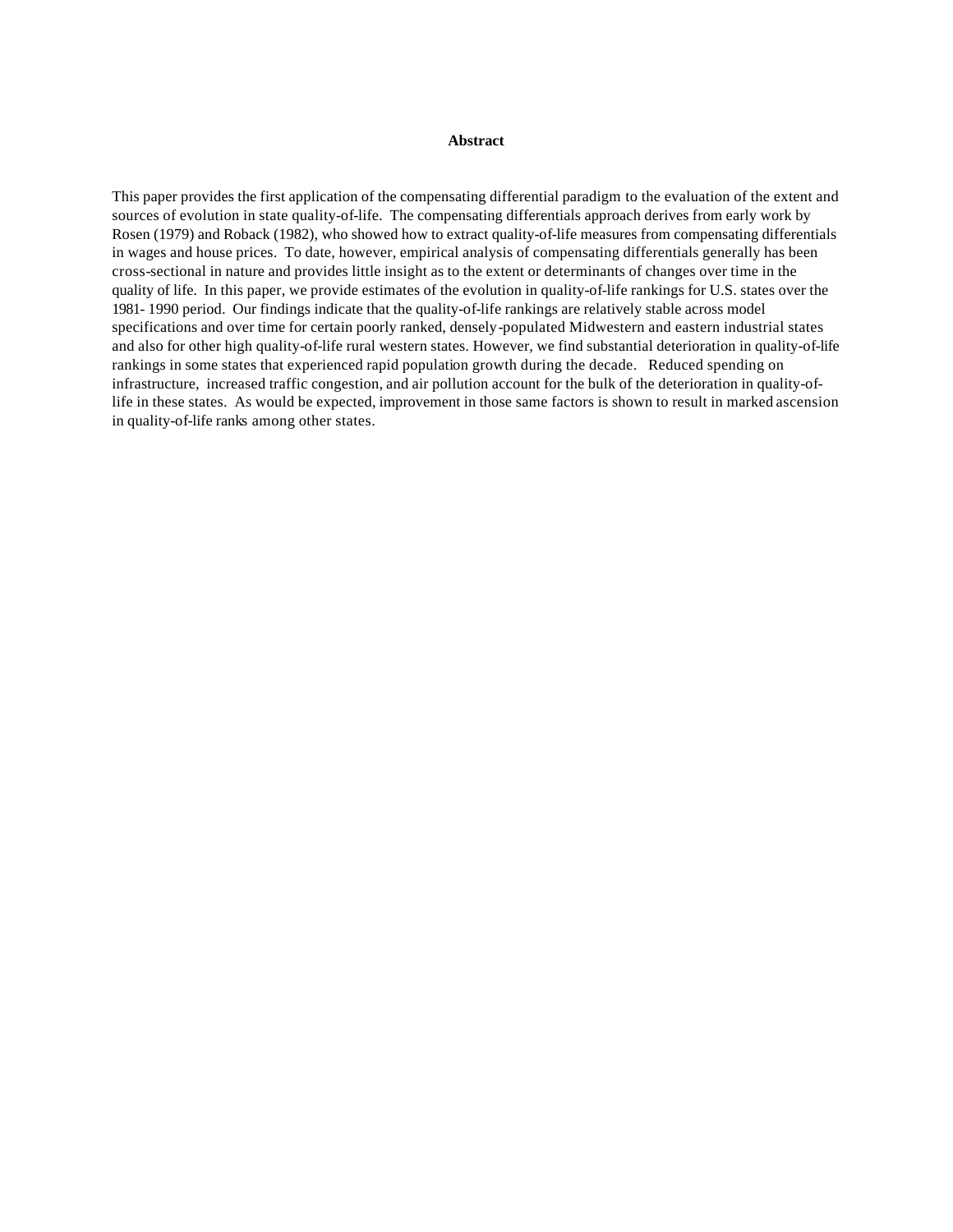## **Abstract**

This paper provides the first application of the compensating differential paradigm to the evaluation of the extent and sources of evolution in state quality-of-life. The compensating differentials approach derives from early work by Rosen (1979) and Roback (1982), who showed how to extract quality-of-life measures from compensating differentials in wages and house prices. To date, however, empirical analysis of compensating differentials generally has been cross-sectional in nature and provides little insight as to the extent or determinants of changes over time in the quality of life. In this paper, we provide estimates of the evolution in quality-of-life rankings for U.S. states over the 1981- 1990 period. Our findings indicate that the quality-of-life rankings are relatively stable across model specifications and over time for certain poorly ranked, densely-populated Midwestern and eastern industrial states and also for other high quality-of-life rural western states. However, we find substantial deterioration in quality-of-life rankings in some states that experienced rapid population growth during the decade. Reduced spending on infrastructure, increased traffic congestion, and air pollution account for the bulk of the deterioration in quality-oflife in these states. As would be expected, improvement in those same factors is shown to result in marked ascension in quality-of-life ranks among other states.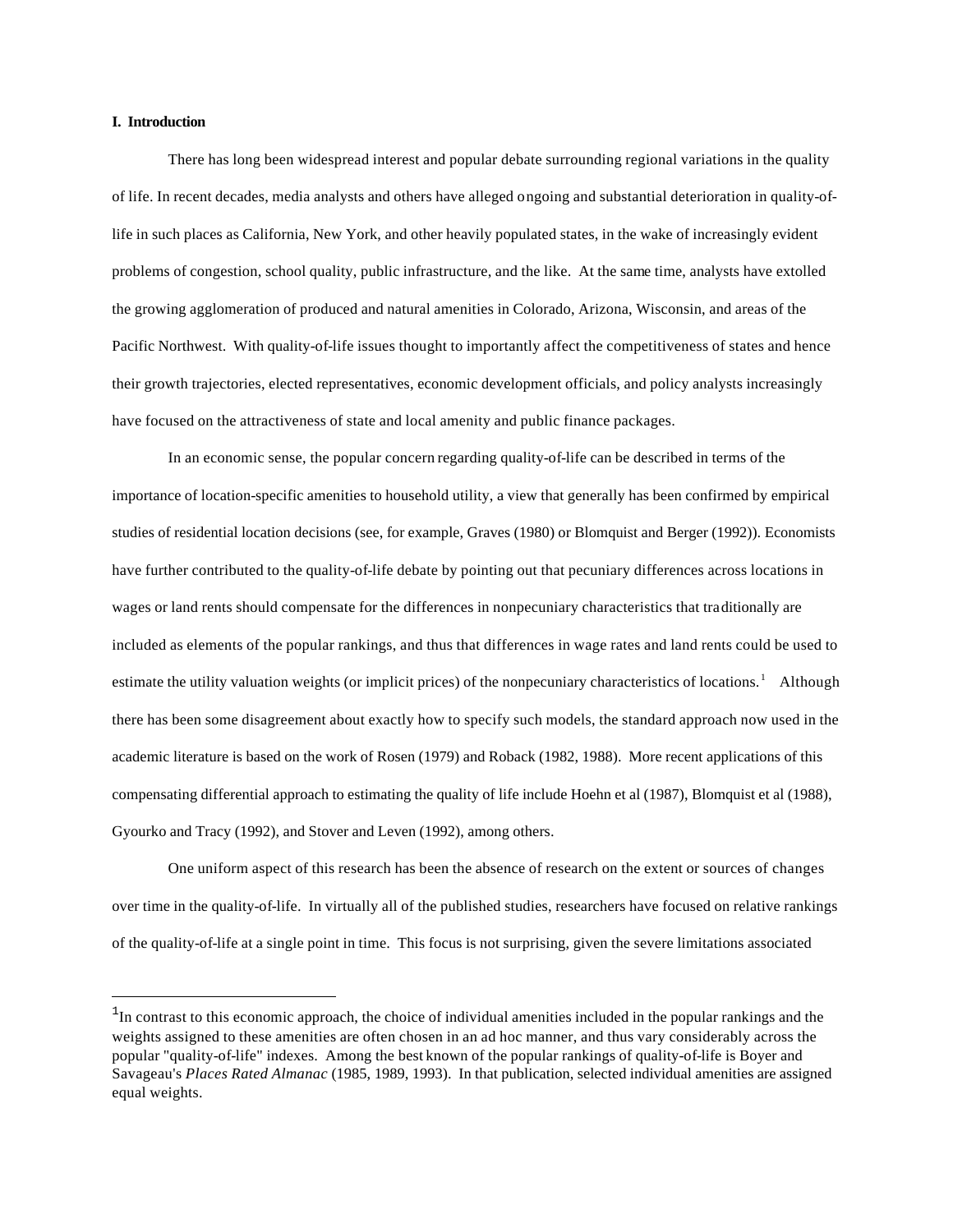# **I. Introduction**

i

There has long been widespread interest and popular debate surrounding regional variations in the quality of life. In recent decades, media analysts and others have alleged ongoing and substantial deterioration in quality-oflife in such places as California, New York, and other heavily populated states, in the wake of increasingly evident problems of congestion, school quality, public infrastructure, and the like. At the same time, analysts have extolled the growing agglomeration of produced and natural amenities in Colorado, Arizona, Wisconsin, and areas of the Pacific Northwest. With quality-of-life issues thought to importantly affect the competitiveness of states and hence their growth trajectories, elected representatives, economic development officials, and policy analysts increasingly have focused on the attractiveness of state and local amenity and public finance packages.

In an economic sense, the popular concern regarding quality-of-life can be described in terms of the importance of location-specific amenities to household utility, a view that generally has been confirmed by empirical studies of residential location decisions (see, for example, Graves (1980) or Blomquist and Berger (1992)). Economists have further contributed to the quality-of-life debate by pointing out that pecuniary differences across locations in wages or land rents should compensate for the differences in nonpecuniary characteristics that traditionally are included as elements of the popular rankings, and thus that differences in wage rates and land rents could be used to estimate the utility valuation weights (or implicit prices) of the nonpecuniary characteristics of locations.<sup>1</sup> Although there has been some disagreement about exactly how to specify such models, the standard approach now used in the academic literature is based on the work of Rosen (1979) and Roback (1982, 1988). More recent applications of this compensating differential approach to estimating the quality of life include Hoehn et al (1987), Blomquist et al (1988), Gyourko and Tracy (1992), and Stover and Leven (1992), among others.

One uniform aspect of this research has been the absence of research on the extent or sources of changes over time in the quality-of-life. In virtually all of the published studies, researchers have focused on relative rankings of the quality-of-life at a single point in time. This focus is not surprising, given the severe limitations associated

 $1$ In contrast to this economic approach, the choice of individual amenities included in the popular rankings and the weights assigned to these amenities are often chosen in an ad hoc manner, and thus vary considerably across the popular "quality-of-life" indexes. Among the best known of the popular rankings of quality-of-life is Boyer and Savageau's *Places Rated Almanac* (1985, 1989, 1993). In that publication, selected individual amenities are assigned equal weights.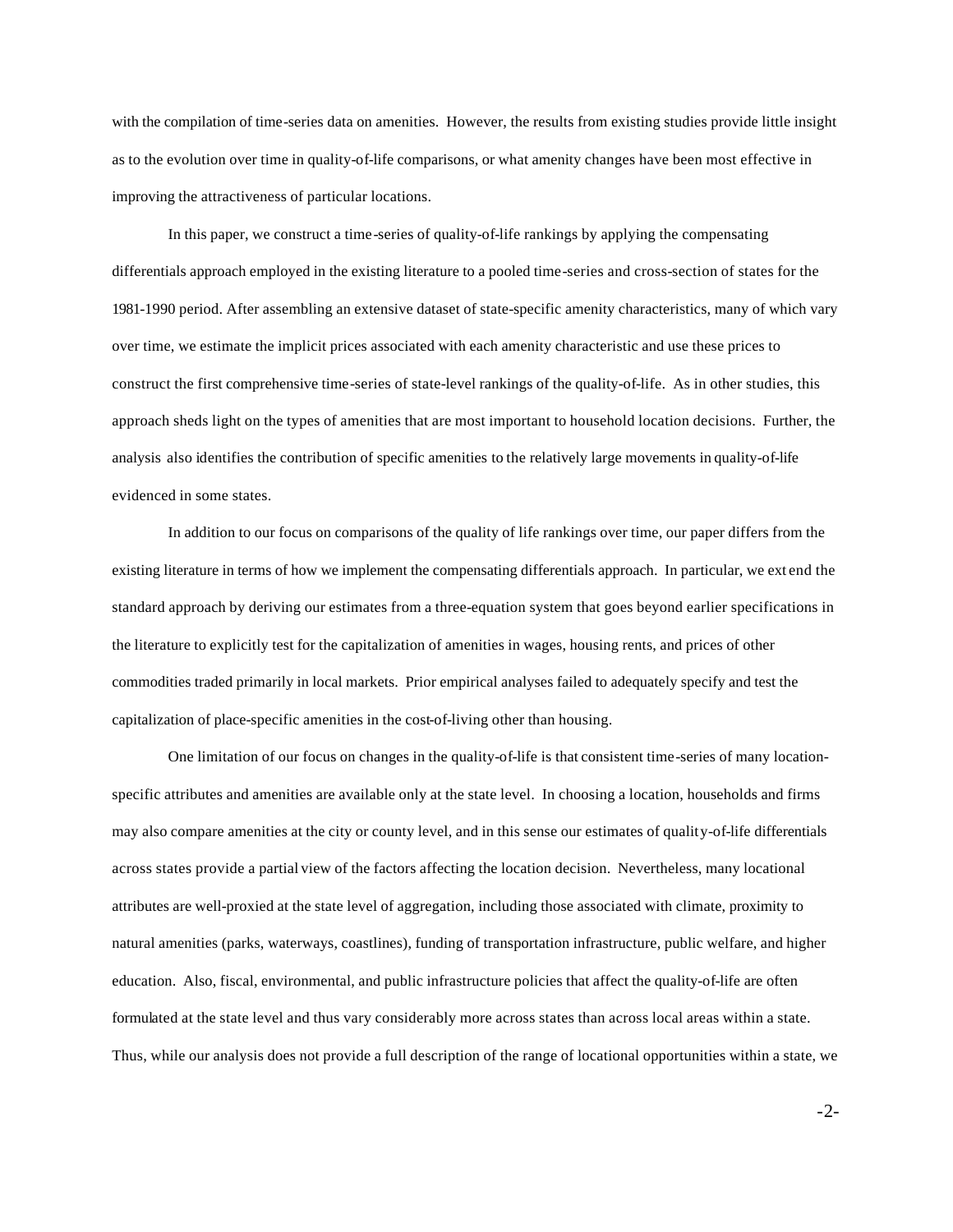with the compilation of time-series data on amenities. However, the results from existing studies provide little insight as to the evolution over time in quality-of-life comparisons, or what amenity changes have been most effective in improving the attractiveness of particular locations.

In this paper, we construct a time-series of quality-of-life rankings by applying the compensating differentials approach employed in the existing literature to a pooled time-series and cross-section of states for the 1981-1990 period. After assembling an extensive dataset of state-specific amenity characteristics, many of which vary over time, we estimate the implicit prices associated with each amenity characteristic and use these prices to construct the first comprehensive time-series of state-level rankings of the quality-of-life. As in other studies, this approach sheds light on the types of amenities that are most important to household location decisions. Further, the analysis also identifies the contribution of specific amenities to the relatively large movements in quality-of-life evidenced in some states.

In addition to our focus on comparisons of the quality of life rankings over time, our paper differs from the existing literature in terms of how we implement the compensating differentials approach. In particular, we ext end the standard approach by deriving our estimates from a three-equation system that goes beyond earlier specifications in the literature to explicitly test for the capitalization of amenities in wages, housing rents, and prices of other commodities traded primarily in local markets. Prior empirical analyses failed to adequately specify and test the capitalization of place-specific amenities in the cost-of-living other than housing.

One limitation of our focus on changes in the quality-of-life is that consistent time-series of many locationspecific attributes and amenities are available only at the state level. In choosing a location, households and firms may also compare amenities at the city or county level, and in this sense our estimates of quality-of-life differentials across states provide a partial view of the factors affecting the location decision. Nevertheless, many locational attributes are well-proxied at the state level of aggregation, including those associated with climate, proximity to natural amenities (parks, waterways, coastlines), funding of transportation infrastructure, public welfare, and higher education. Also, fiscal, environmental, and public infrastructure policies that affect the quality-of-life are often formulated at the state level and thus vary considerably more across states than across local areas within a state. Thus, while our analysis does not provide a full description of the range of locational opportunities within a state, we

-2-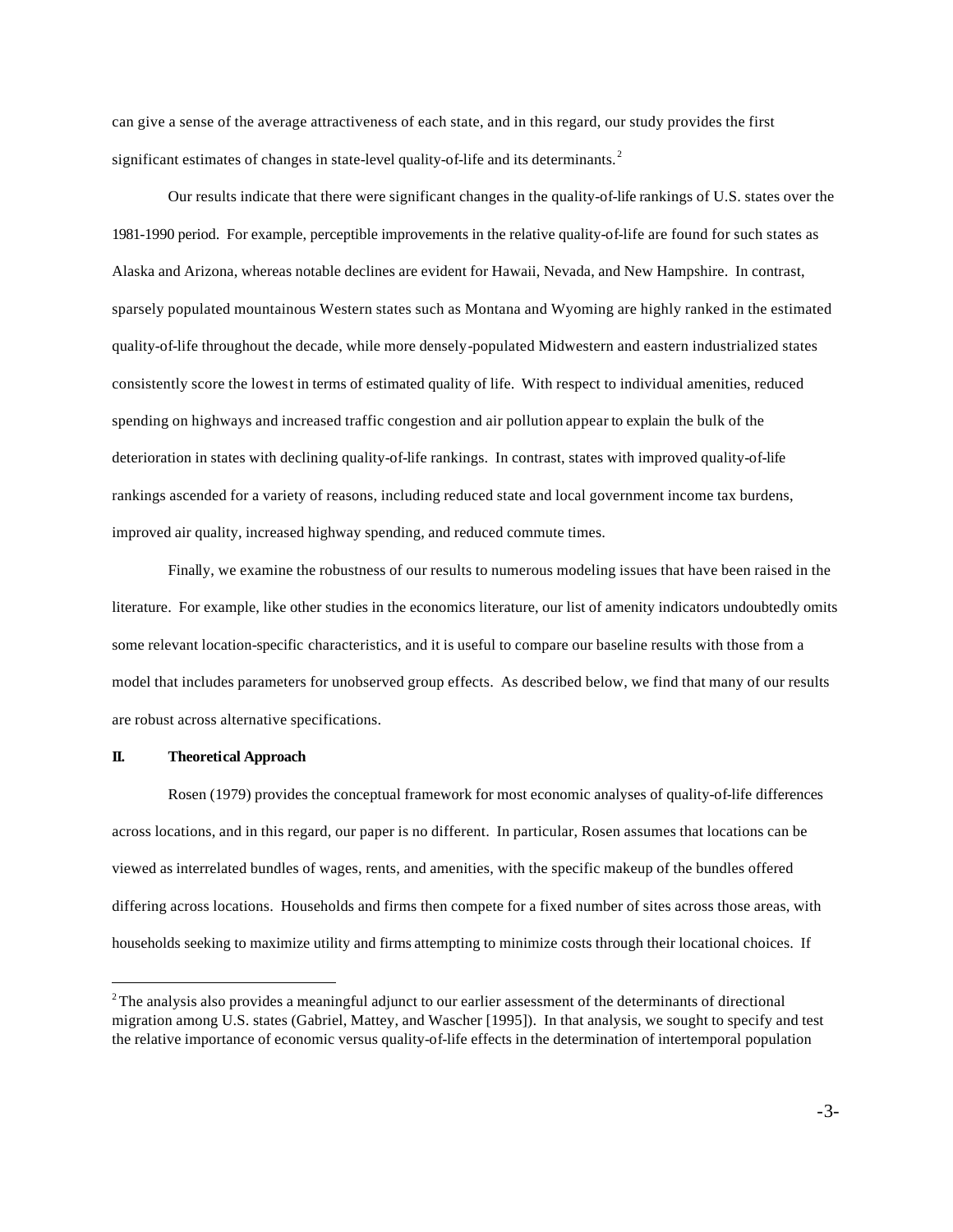can give a sense of the average attractiveness of each state, and in this regard, our study provides the first significant estimates of changes in state-level quality-of-life and its determinants.<sup>2</sup>

Our results indicate that there were significant changes in the quality-of-life rankings of U.S. states over the 1981-1990 period. For example, perceptible improvements in the relative quality-of-life are found for such states as Alaska and Arizona, whereas notable declines are evident for Hawaii, Nevada, and New Hampshire. In contrast, sparsely populated mountainous Western states such as Montana and Wyoming are highly ranked in the estimated quality-of-life throughout the decade, while more densely-populated Midwestern and eastern industrialized states consistently score the lowest in terms of estimated quality of life. With respect to individual amenities, reduced spending on highways and increased traffic congestion and air pollution appear to explain the bulk of the deterioration in states with declining quality-of-life rankings. In contrast, states with improved quality-of-life rankings ascended for a variety of reasons, including reduced state and local government income tax burdens, improved air quality, increased highway spending, and reduced commute times.

Finally, we examine the robustness of our results to numerous modeling issues that have been raised in the literature. For example, like other studies in the economics literature, our list of amenity indicators undoubtedly omits some relevant location-specific characteristics, and it is useful to compare our baseline results with those from a model that includes parameters for unobserved group effects. As described below, we find that many of our results are robust across alternative specifications.

# **II. Theoretical Approach**

i

Rosen (1979) provides the conceptual framework for most economic analyses of quality-of-life differences across locations, and in this regard, our paper is no different. In particular, Rosen assumes that locations can be viewed as interrelated bundles of wages, rents, and amenities, with the specific makeup of the bundles offered differing across locations. Households and firms then compete for a fixed number of sites across those areas, with households seeking to maximize utility and firms attempting to minimize costs through their locational choices. If

 $2^2$ The analysis also provides a meaningful adjunct to our earlier assessment of the determinants of directional migration among U.S. states (Gabriel, Mattey, and Wascher [1995]). In that analysis, we sought to specify and test the relative importance of economic versus quality-of-life effects in the determination of intertemporal population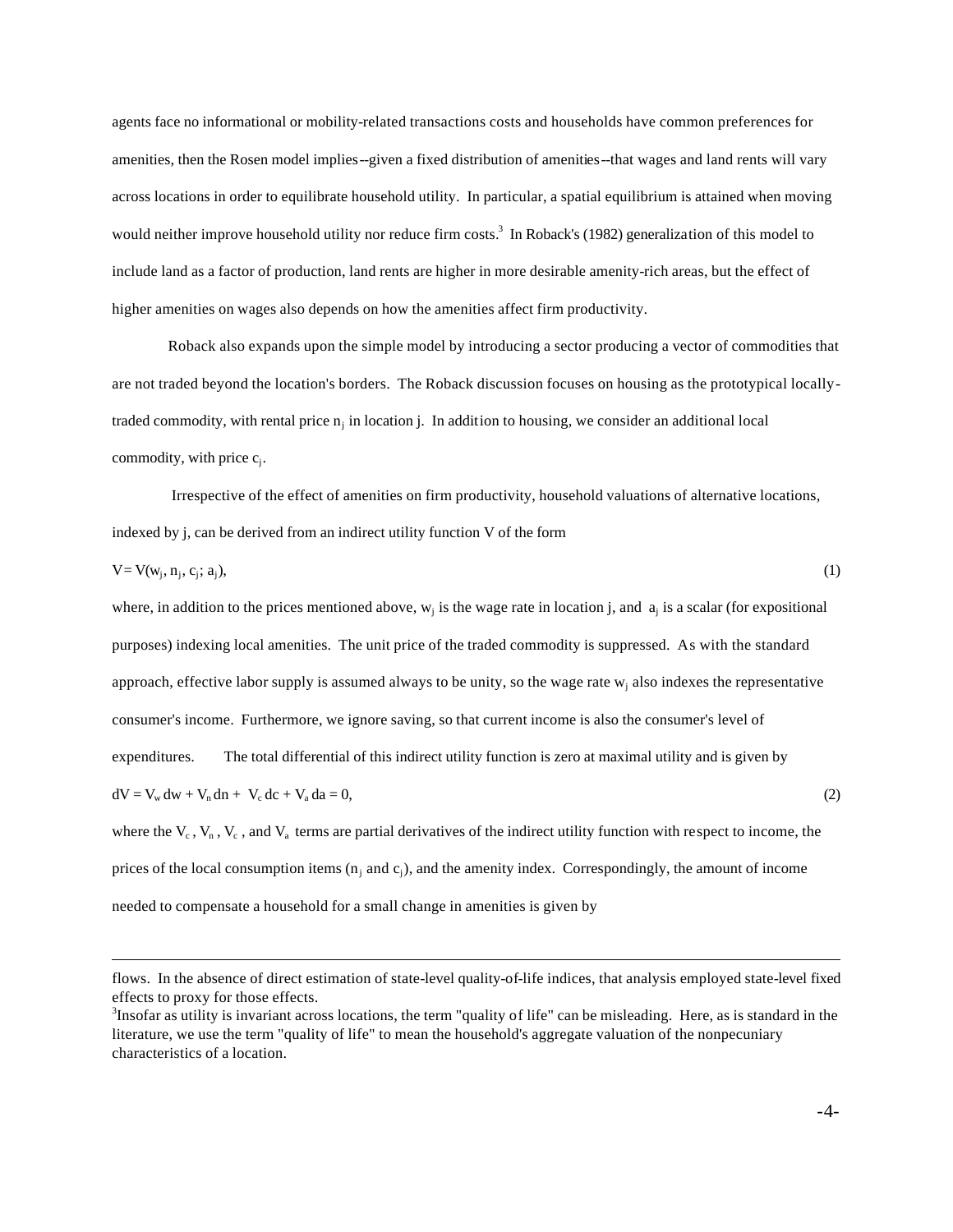agents face no informational or mobility-related transactions costs and households have common preferences for amenities, then the Rosen model implies--given a fixed distribution of amenities--that wages and land rents will vary across locations in order to equilibrate household utility. In particular, a spatial equilibrium is attained when moving would neither improve household utility nor reduce firm costs.<sup>3</sup> In Roback's (1982) generalization of this model to include land as a factor of production, land rents are higher in more desirable amenity-rich areas, but the effect of higher amenities on wages also depends on how the amenities affect firm productivity.

Roback also expands upon the simple model by introducing a sector producing a vector of commodities that are not traded beyond the location's borders. The Roback discussion focuses on housing as the prototypical locallytraded commodity, with rental price  $n_j$  in location j. In addition to housing, we consider an additional local commodity, with price  $c_j$ .

 Irrespective of the effect of amenities on firm productivity, household valuations of alternative locations, indexed by j, can be derived from an indirect utility function V of the form

$$
V = V(w_j, n_j, c_j; a_j),\tag{1}
$$

where, in addition to the prices mentioned above,  $w_j$  is the wage rate in location j, and  $a_j$  is a scalar (for expositional purposes) indexing local amenities. The unit price of the traded commodity is suppressed. As with the standard approach, effective labor supply is assumed always to be unity, so the wage rate  $w_j$  also indexes the representative consumer's income. Furthermore, we ignore saving, so that current income is also the consumer's level of expenditures. The total differential of this indirect utility function is zero at maximal utility and is given by  $dV = V_w dw + V_n dn + V_c dc + V_a da = 0,$  (2) where the  $V_c$ ,  $V_n$ ,  $V_c$ , and  $V_a$  terms are partial derivatives of the indirect utility function with respect to income, the

prices of the local consumption items  $(n_j \text{ and } c_j)$ , and the amenity index. Correspondingly, the amount of income needed to compensate a household for a small change in amenities is given by

flows. In the absence of direct estimation of state-level quality-of-life indices, that analysis employed state-level fixed effects to proxy for those effects.

 $3$ Insofar as utility is invariant across locations, the term "quality of life" can be misleading. Here, as is standard in the literature, we use the term "quality of life" to mean the household's aggregate valuation of the nonpecuniary characteristics of a location.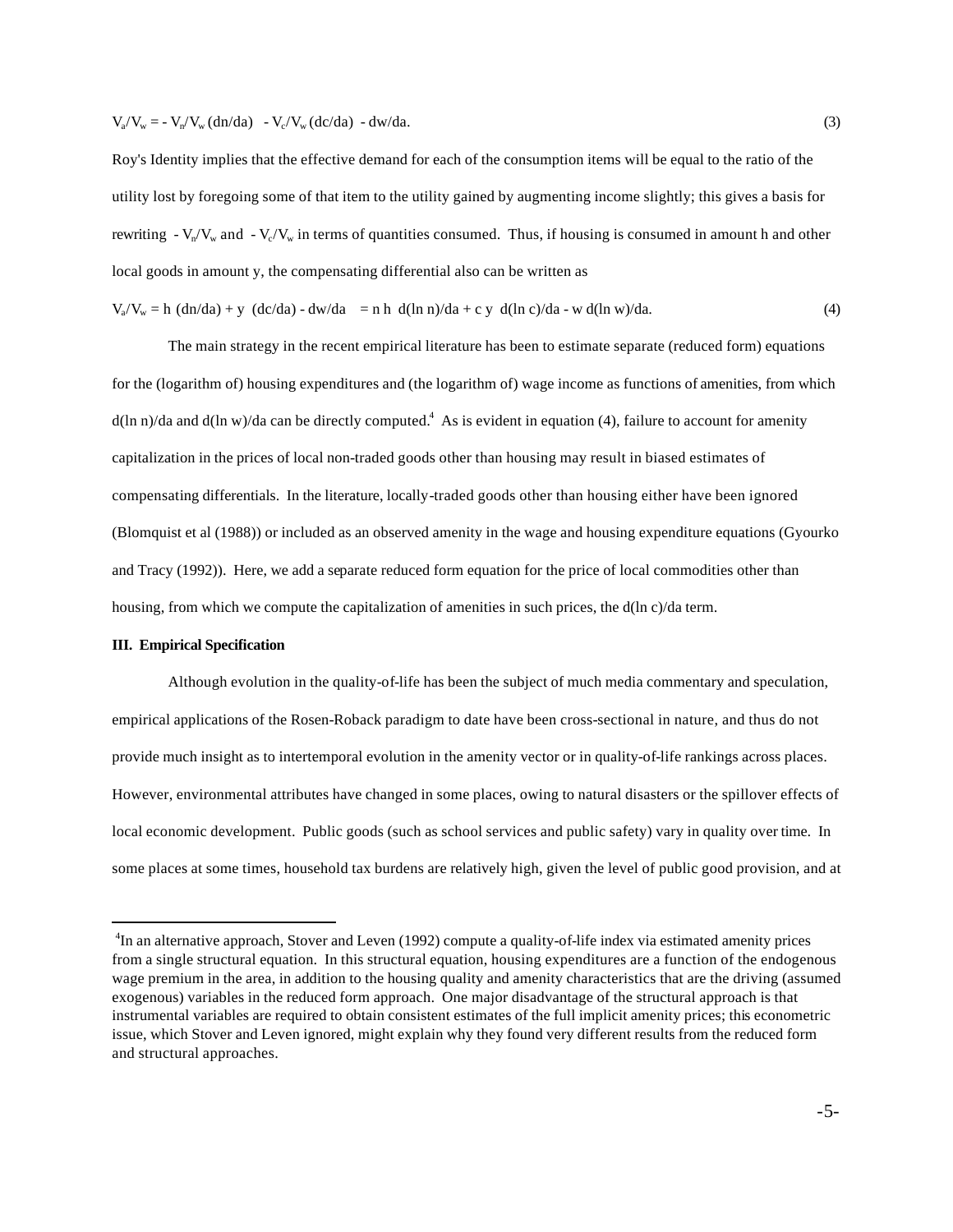$V_a/V_w = -V_n/V_w \left(\frac{dn}{da}\right) - V_c/V_w \left(\frac{dc}{da}\right) - \frac{dw}{da}.$  (3)

Roy's Identity implies that the effective demand for each of the consumption items will be equal to the ratio of the utility lost by foregoing some of that item to the utility gained by augmenting income slightly; this gives a basis for rewriting  $-V_p/V_w$  and  $-V_c/V_w$  in terms of quantities consumed. Thus, if housing is consumed in amount h and other local goods in amount y, the compensating differential also can be written as

$$
V_a/V_w = h (dn/da) + y (dc/da) - dw/da = n h d(ln n)/da + c y d(ln c)/da - w d(ln w)/da.
$$
 (4)

The main strategy in the recent empirical literature has been to estimate separate (reduced form) equations for the (logarithm of) housing expenditures and (the logarithm of) wage income as functions of amenities, from which  $d(ln n)/da$  and  $d(ln w)/da$  can be directly computed.<sup>4</sup> As is evident in equation (4), failure to account for amenity capitalization in the prices of local non-traded goods other than housing may result in biased estimates of compensating differentials. In the literature, locally-traded goods other than housing either have been ignored (Blomquist et al (1988)) or included as an observed amenity in the wage and housing expenditure equations (Gyourko and Tracy (1992)). Here, we add a separate reduced form equation for the price of local commodities other than housing, from which we compute the capitalization of amenities in such prices, the d(ln c)/da term.

#### **III. Empirical Specification**

i

Although evolution in the quality-of-life has been the subject of much media commentary and speculation, empirical applications of the Rosen-Roback paradigm to date have been cross-sectional in nature, and thus do not provide much insight as to intertemporal evolution in the amenity vector or in quality-of-life rankings across places. However, environmental attributes have changed in some places, owing to natural disasters or the spillover effects of local economic development. Public goods (such as school services and public safety) vary in quality over time. In some places at some times, household tax burdens are relatively high, given the level of public good provision, and at

<sup>&</sup>lt;sup>4</sup>In an alternative approach, Stover and Leven (1992) compute a quality-of-life index via estimated amenity prices from a single structural equation. In this structural equation, housing expenditures are a function of the endogenous wage premium in the area, in addition to the housing quality and amenity characteristics that are the driving (assumed exogenous) variables in the reduced form approach. One major disadvantage of the structural approach is that instrumental variables are required to obtain consistent estimates of the full implicit amenity prices; this econometric issue, which Stover and Leven ignored, might explain why they found very different results from the reduced form and structural approaches.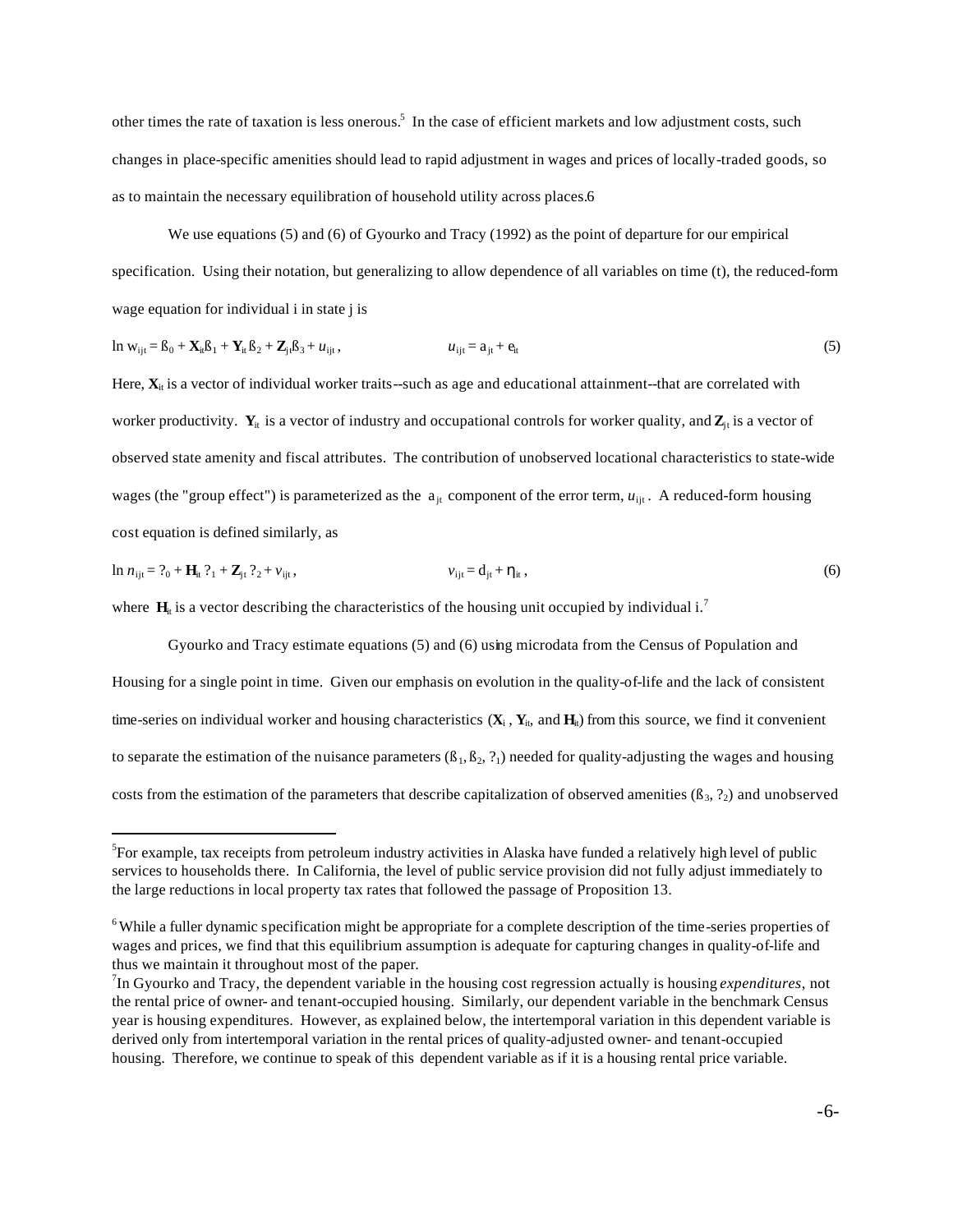other times the rate of taxation is less onerous.<sup>5</sup> In the case of efficient markets and low adjustment costs, such changes in place-specific amenities should lead to rapid adjustment in wages and prices of locally-traded goods, so as to maintain the necessary equilibration of household utility across places.6

We use equations (5) and (6) of Gyourko and Tracy (1992) as the point of departure for our empirical specification. Using their notation, but generalizing to allow dependence of all variables on time (t), the reduced-form wage equation for individual i in state j is

$$
\ln w_{ijt} = \beta_0 + \mathbf{X}_{it} \beta_1 + \mathbf{Y}_{it} \beta_2 + \mathbf{Z}_{jt} \beta_3 + u_{ijt}, \qquad u_{ijt} = a_{jt} + e_{it} \tag{5}
$$

Here,  $\mathbf{X}_{it}$  is a vector of individual worker traits--such as age and educational attainment--that are correlated with worker productivity.  $Y_{it}$  is a vector of industry and occupational controls for worker quality, and  $Z_{it}$  is a vector of observed state amenity and fiscal attributes. The contribution of unobserved locational characteristics to state-wide wages (the "group effect") is parameterized as the a<sub>jt</sub> component of the error term,  $u_{ijt}$ . A reduced-form housing cost equation is defined similarly, as

$$
\ln n_{ijt} = ?_0 + \mathbf{H}_{it} ?_1 + \mathbf{Z}_{jt} ?_2 + v_{ijt}, \qquad v_{ijt} = d_{jt} + \eta_{it}, \qquad (6)
$$

where  $\mathbf{H}_{it}$  is a vector describing the characteristics of the housing unit occupied by individual i.<sup>7</sup>

i

Gyourko and Tracy estimate equations (5) and (6) using microdata from the Census of Population and Housing for a single point in time. Given our emphasis on evolution in the quality-of-life and the lack of consistent time-series on individual worker and housing characteristics  $(X_i, Y_i, \text{and } H_i)$  from this source, we find it convenient to separate the estimation of the nuisance parameters  $(\beta_1, \beta_2, ?_1)$  needed for quality-adjusting the wages and housing costs from the estimation of the parameters that describe capitalization of observed amenities ( $\beta_3$ ,  $\gamma_2$ ) and unobserved

<sup>&</sup>lt;sup>5</sup>For example, tax receipts from petroleum industry activities in Alaska have funded a relatively high level of public services to households there. In California, the level of public service provision did not fully adjust immediately to the large reductions in local property tax rates that followed the passage of Proposition 13.

<sup>&</sup>lt;sup>6</sup>While a fuller dynamic specification might be appropriate for a complete description of the time-series properties of wages and prices, we find that this equilibrium assumption is adequate for capturing changes in quality-of-life and thus we maintain it throughout most of the paper.

<sup>7</sup> In Gyourko and Tracy, the dependent variable in the housing cost regression actually is housing *expenditures*, not the rental price of owner- and tenant-occupied housing. Similarly, our dependent variable in the benchmark Census year is housing expenditures. However, as explained below, the intertemporal variation in this dependent variable is derived only from intertemporal variation in the rental prices of quality-adjusted owner- and tenant-occupied housing. Therefore, we continue to speak of this dependent variable as if it is a housing rental price variable.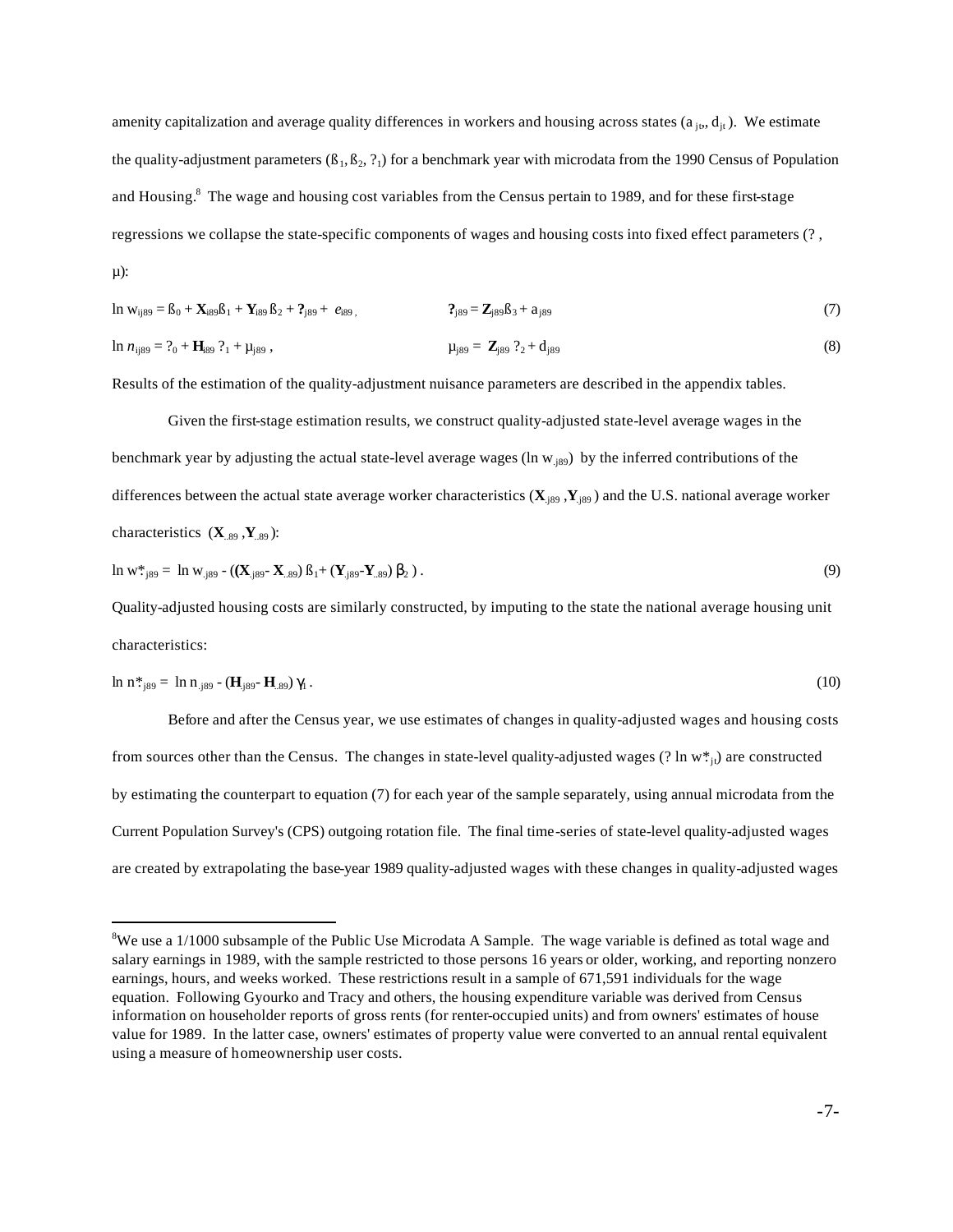amenity capitalization and average quality differences in workers and housing across states ( $a_{i}$ ,  $d_{i}$ ). We estimate the quality-adjustment parameters  $(\beta_1, \beta_2, ?_1)$  for a benchmark year with microdata from the 1990 Census of Population and Housing.<sup>8</sup> The wage and housing cost variables from the Census pertain to 1989, and for these first-stage regressions we collapse the state-specific components of wages and housing costs into fixed effect parameters (? ,

$$
\mu)\!\!:
$$

i

$$
\ln w_{ij89} = B_0 + \mathbf{X}_{i89}B_1 + \mathbf{Y}_{i89}B_2 + 2_{j89} + e_{i89},
$$
\n
$$
P_{j89} = \mathbf{Z}_{j89}B_3 + a_{j89}
$$
\n
$$
(7)
$$

$$
\ln n_{ij89} = ?_0 + \mathbf{H}_{i89} ?_1 + \mu_{j89} ,\tag{8}
$$

Results of the estimation of the quality-adjustment nuisance parameters are described in the appendix tables.

Given the first-stage estimation results, we construct quality-adjusted state-level average wages in the benchmark year by adjusting the actual state-level average wages ( $\ln w_{.}$ ) by the inferred contributions of the differences between the actual state average worker characteristics  $(\mathbf{X}_{.189}, \mathbf{Y}_{.189})$  and the U.S. national average worker characteristics  $(\mathbf{X}_{89}, \mathbf{Y}_{89})$ :

$$
\ln w *_{j89} = \ln w_{j89} - ((\mathbf{X}_{j89} - \mathbf{X}_{.89}) \beta_{1} + (\mathbf{Y}_{j89} - \mathbf{Y}_{.89}) \beta_{2}).
$$
\n(9)

Quality-adjusted housing costs are similarly constructed, by imputing to the state the national average housing unit characteristics:

$$
\ln n^*_{j89} = \ln n_{j89} - (\mathbf{H}_{j89} - \mathbf{H}_{.89}) \gamma_1. \tag{10}
$$

Before and after the Census year, we use estimates of changes in quality-adjusted wages and housing costs from sources other than the Census. The changes in state-level quality-adjusted wages (? ln  $w^*_{ij}$ ) are constructed by estimating the counterpart to equation (7) for each year of the sample separately, using annual microdata from the Current Population Survey's (CPS) outgoing rotation file. The final time-series of state-level quality-adjusted wages are created by extrapolating the base-year 1989 quality-adjusted wages with these changes in quality-adjusted wages

 $8W$ e use a 1/1000 subsample of the Public Use Microdata A Sample. The wage variable is defined as total wage and salary earnings in 1989, with the sample restricted to those persons 16 years or older, working, and reporting nonzero earnings, hours, and weeks worked. These restrictions result in a sample of 671,591 individuals for the wage equation. Following Gyourko and Tracy and others, the housing expenditure variable was derived from Census information on householder reports of gross rents (for renter-occupied units) and from owners' estimates of house value for 1989. In the latter case, owners' estimates of property value were converted to an annual rental equivalent using a measure of homeownership user costs.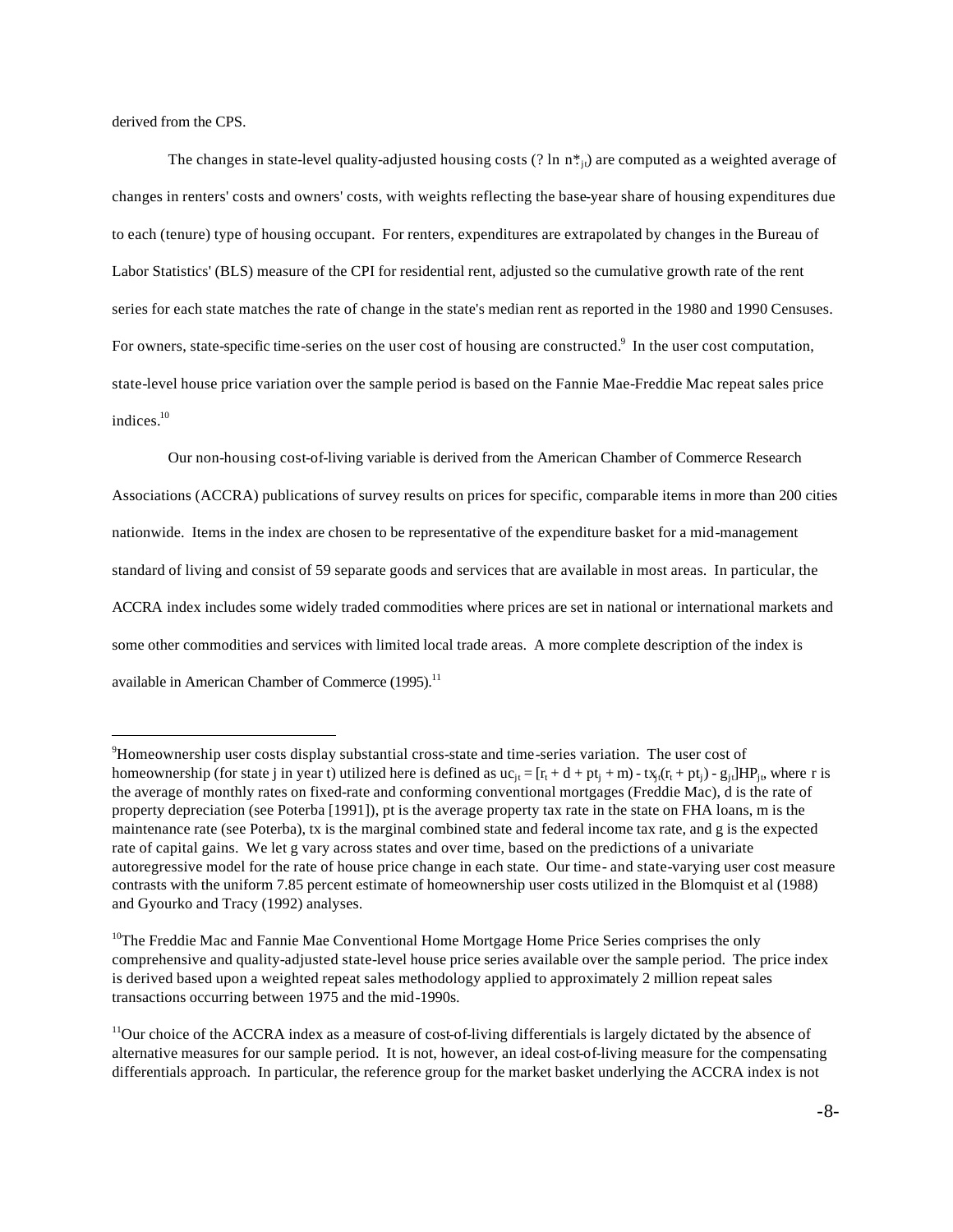derived from the CPS.

i

The changes in state-level quality-adjusted housing costs (? ln  $n*_{i}$ ) are computed as a weighted average of changes in renters' costs and owners' costs, with weights reflecting the base-year share of housing expenditures due to each (tenure) type of housing occupant. For renters, expenditures are extrapolated by changes in the Bureau of Labor Statistics' (BLS) measure of the CPI for residential rent, adjusted so the cumulative growth rate of the rent series for each state matches the rate of change in the state's median rent as reported in the 1980 and 1990 Censuses. For owners, state-specific time-series on the user cost of housing are constructed.<sup>9</sup> In the user cost computation, state-level house price variation over the sample period is based on the Fannie Mae-Freddie Mac repeat sales price indices. $10$ 

Our non-housing cost-of-living variable is derived from the American Chamber of Commerce Research Associations (ACCRA) publications of survey results on prices for specific, comparable items in more than 200 cities nationwide. Items in the index are chosen to be representative of the expenditure basket for a mid-management standard of living and consist of 59 separate goods and services that are available in most areas. In particular, the ACCRA index includes some widely traded commodities where prices are set in national or international markets and some other commodities and services with limited local trade areas. A more complete description of the index is available in American Chamber of Commerce (1995).<sup>11</sup>

<sup>9</sup>Homeownership user costs display substantial cross-state and time-series variation. The user cost of homeownership (for state j in year t) utilized here is defined as  $uc_{jt} = [r_t + d + pt_j + m) - tx_{jt}(r_t + pt_j) - g_{jt}]HP_{jt}$ , where r is the average of monthly rates on fixed-rate and conforming conventional mortgages (Freddie Mac), d is the rate of property depreciation (see Poterba [1991]), pt is the average property tax rate in the state on FHA loans, m is the maintenance rate (see Poterba), tx is the marginal combined state and federal income tax rate, and g is the expected rate of capital gains. We let g vary across states and over time, based on the predictions of a univariate autoregressive model for the rate of house price change in each state. Our time- and state-varying user cost measure contrasts with the uniform 7.85 percent estimate of homeownership user costs utilized in the Blomquist et al (1988) and Gyourko and Tracy (1992) analyses.

<sup>&</sup>lt;sup>10</sup>The Freddie Mac and Fannie Mae Conventional Home Mortgage Home Price Series comprises the only comprehensive and quality-adjusted state-level house price series available over the sample period. The price index is derived based upon a weighted repeat sales methodology applied to approximately 2 million repeat sales transactions occurring between 1975 and the mid-1990s.

 $11$ Our choice of the ACCRA index as a measure of cost-of-living differentials is largely dictated by the absence of alternative measures for our sample period. It is not, however, an ideal cost-of-living measure for the compensating differentials approach. In particular, the reference group for the market basket underlying the ACCRA index is not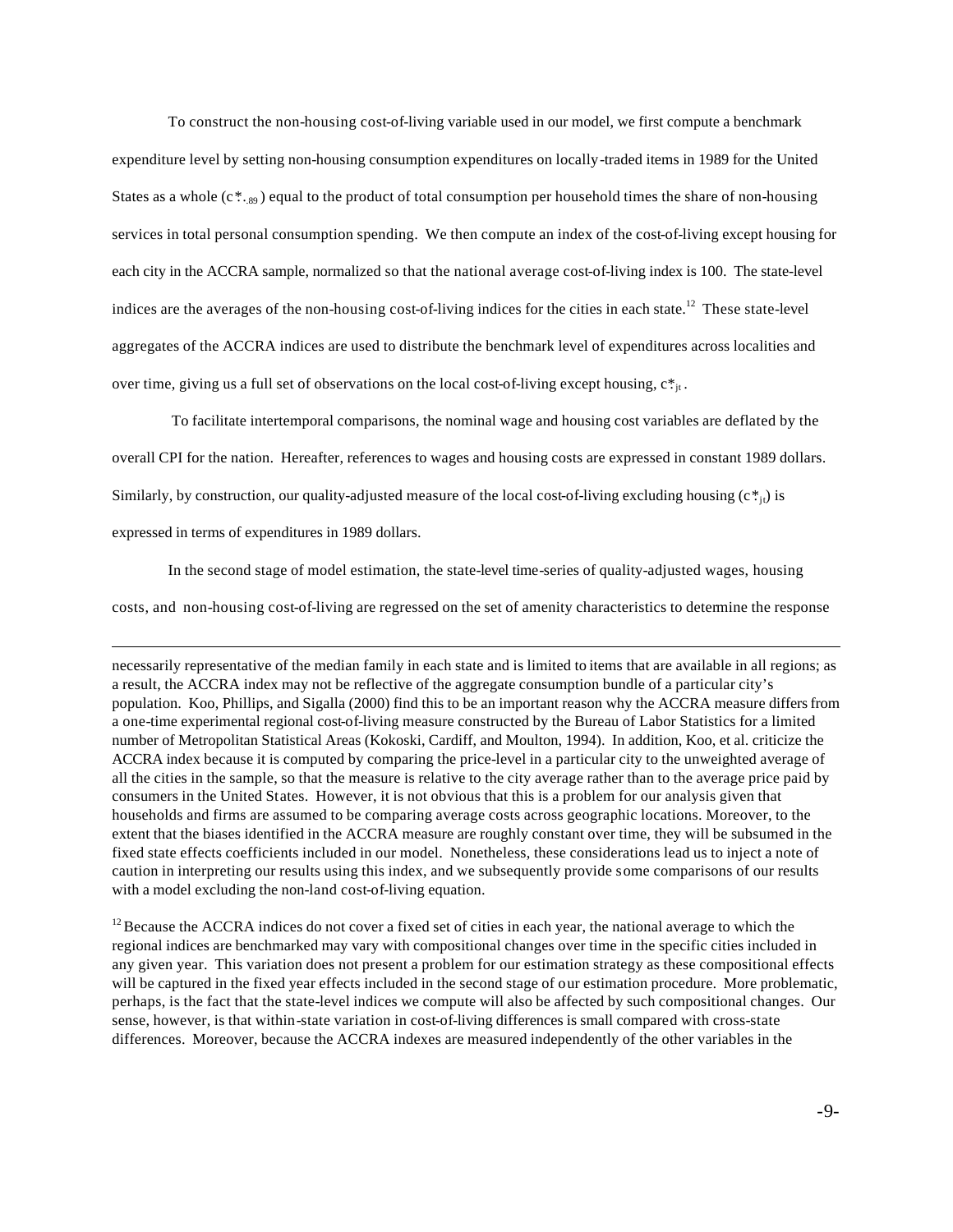To construct the non-housing cost-of-living variable used in our model, we first compute a benchmark expenditure level by setting non-housing consumption expenditures on locally-traded items in 1989 for the United States as a whole  $(c^*_{.89})$  equal to the product of total consumption per household times the share of non-housing services in total personal consumption spending. We then compute an index of the cost-of-living except housing for each city in the ACCRA sample, normalized so that the national average cost-of-living index is 100. The state-level indices are the averages of the non-housing cost-of-living indices for the cities in each state.<sup>12</sup> These state-level aggregates of the ACCRA indices are used to distribute the benchmark level of expenditures across localities and over time, giving us a full set of observations on the local cost-of-living except housing,  $c^*_{it}$ .

 To facilitate intertemporal comparisons, the nominal wage and housing cost variables are deflated by the overall CPI for the nation. Hereafter, references to wages and housing costs are expressed in constant 1989 dollars. Similarly, by construction, our quality-adjusted measure of the local cost-of-living excluding housing ( $c^*_{ij}$ ) is expressed in terms of expenditures in 1989 dollars.

In the second stage of model estimation, the state-level time-series of quality-adjusted wages, housing costs, and non-housing cost-of-living are regressed on the set of amenity characteristics to determine the response

i

necessarily representative of the median family in each state and is limited to items that are available in all regions; as a result, the ACCRA index may not be reflective of the aggregate consumption bundle of a particular city's population. Koo, Phillips, and Sigalla (2000) find this to be an important reason why the ACCRA measure differs from a one-time experimental regional cost-of-living measure constructed by the Bureau of Labor Statistics for a limited number of Metropolitan Statistical Areas (Kokoski, Cardiff, and Moulton, 1994). In addition, Koo, et al. criticize the ACCRA index because it is computed by comparing the price-level in a particular city to the unweighted average of all the cities in the sample, so that the measure is relative to the city average rather than to the average price paid by consumers in the United States. However, it is not obvious that this is a problem for our analysis given that households and firms are assumed to be comparing average costs across geographic locations. Moreover, to the extent that the biases identified in the ACCRA measure are roughly constant over time, they will be subsumed in the fixed state effects coefficients included in our model. Nonetheless, these considerations lead us to inject a note of caution in interpreting our results using this index, and we subsequently provide some comparisons of our results with a model excluding the non-land cost-of-living equation.

 $12$  Because the ACCRA indices do not cover a fixed set of cities in each year, the national average to which the regional indices are benchmarked may vary with compositional changes over time in the specific cities included in any given year. This variation does not present a problem for our estimation strategy as these compositional effects will be captured in the fixed year effects included in the second stage of our estimation procedure. More problematic, perhaps, is the fact that the state-level indices we compute will also be affected by such compositional changes. Our sense, however, is that within-state variation in cost-of-living differences is small compared with cross-state differences. Moreover, because the ACCRA indexes are measured independently of the other variables in the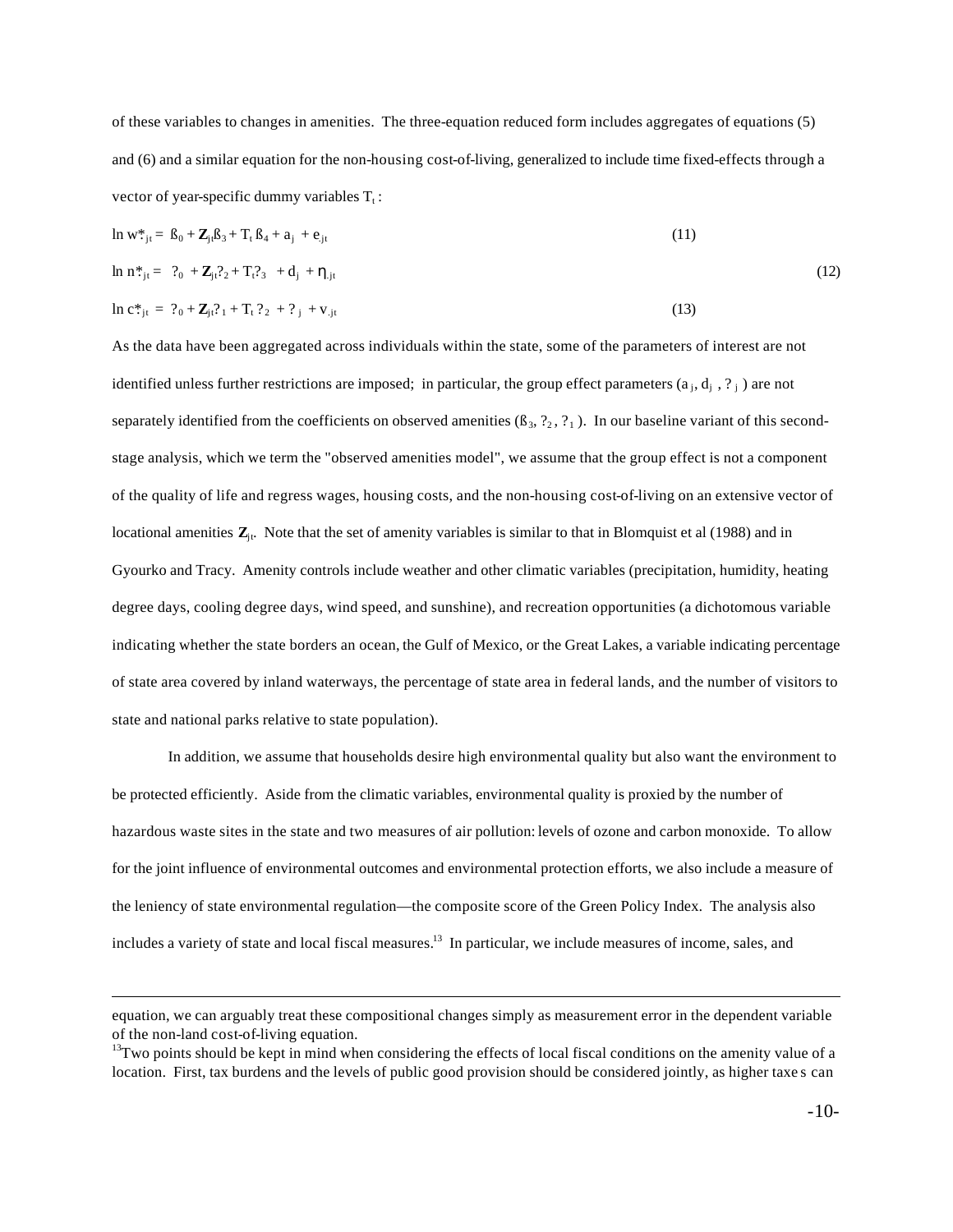of these variables to changes in amenities. The three-equation reduced form includes aggregates of equations (5) and (6) and a similar equation for the non-housing cost-of-living, generalized to include time fixed-effects through a vector of year-specific dummy variables  $T_t$ :

$$
\ln w_{\text{ }ij}^* = B_0 + \mathbf{Z}_{j} B_3 + \mathbf{T}_t B_4 + a_j + e_{jt} \tag{11}
$$

$$
\ln n^*_{\;jt} = ?_0 + \mathbf{Z}_{jt} ?_2 + T_t ?_3 + d_j + \eta_{\;jt} \tag{12}
$$

$$
\ln c^*_{\;jt} = ?_0 + \mathbf{Z}_{jt} ?_1 + T_t ?_2 + ?_j + v_{\;jt} \tag{13}
$$

As the data have been aggregated across individuals within the state, some of the parameters of interest are not identified unless further restrictions are imposed; in particular, the group effect parameters  $(a_j, d_j, ?_j)$  are not separately identified from the coefficients on observed amenities  $(\beta_3, \gamma_2, \gamma_1)$ . In our baseline variant of this secondstage analysis, which we term the "observed amenities model", we assume that the group effect is not a component of the quality of life and regress wages, housing costs, and the non-housing cost-of-living on an extensive vector of locational amenities  $\mathbf{Z}_{i}$ . Note that the set of amenity variables is similar to that in Blomquist et al (1988) and in Gyourko and Tracy. Amenity controls include weather and other climatic variables (precipitation, humidity, heating degree days, cooling degree days, wind speed, and sunshine), and recreation opportunities (a dichotomous variable indicating whether the state borders an ocean, the Gulf of Mexico, or the Great Lakes, a variable indicating percentage of state area covered by inland waterways, the percentage of state area in federal lands, and the number of visitors to state and national parks relative to state population).

In addition, we assume that households desire high environmental quality but also want the environment to be protected efficiently. Aside from the climatic variables, environmental quality is proxied by the number of hazardous waste sites in the state and two measures of air pollution: levels of ozone and carbon monoxide. To allow for the joint influence of environmental outcomes and environmental protection efforts, we also include a measure of the leniency of state environmental regulation—the composite score of the Green Policy Index. The analysis also includes a variety of state and local fiscal measures.<sup>13</sup> In particular, we include measures of income, sales, and

equation, we can arguably treat these compositional changes simply as measurement error in the dependent variable of the non-land cost-of-living equation.

 $13$ Two points should be kept in mind when considering the effects of local fiscal conditions on the amenity value of a location. First, tax burdens and the levels of public good provision should be considered jointly, as higher taxe s can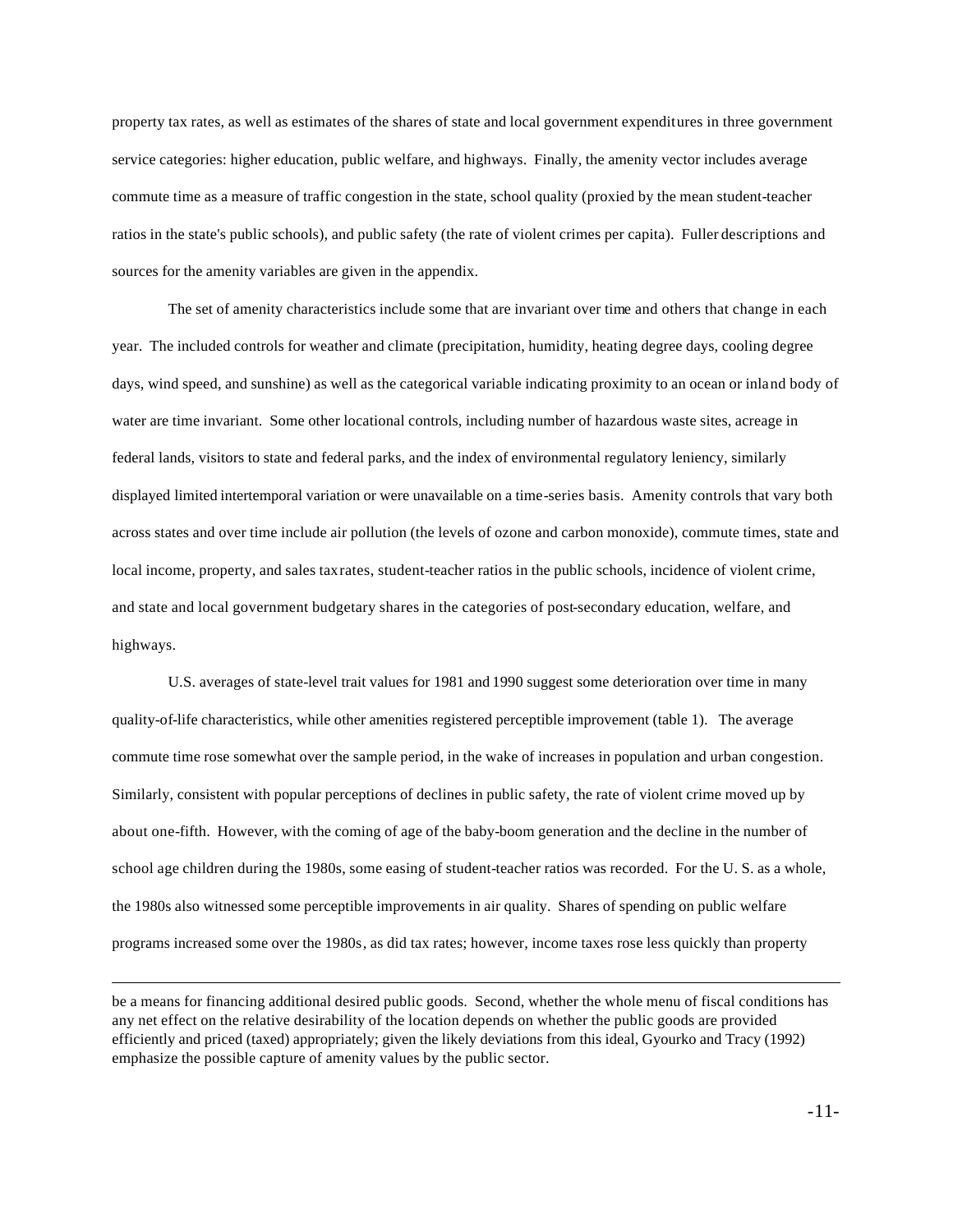property tax rates, as well as estimates of the shares of state and local government expenditures in three government service categories: higher education, public welfare, and highways. Finally, the amenity vector includes average commute time as a measure of traffic congestion in the state, school quality (proxied by the mean student-teacher ratios in the state's public schools), and public safety (the rate of violent crimes per capita). Fuller descriptions and sources for the amenity variables are given in the appendix.

The set of amenity characteristics include some that are invariant over time and others that change in each year. The included controls for weather and climate (precipitation, humidity, heating degree days, cooling degree days, wind speed, and sunshine) as well as the categorical variable indicating proximity to an ocean or inland body of water are time invariant. Some other locational controls, including number of hazardous waste sites, acreage in federal lands, visitors to state and federal parks, and the index of environmental regulatory leniency, similarly displayed limited intertemporal variation or were unavailable on a time-series basis. Amenity controls that vary both across states and over time include air pollution (the levels of ozone and carbon monoxide), commute times, state and local income, property, and sales tax rates, student-teacher ratios in the public schools, incidence of violent crime, and state and local government budgetary shares in the categories of post-secondary education, welfare, and highways.

U.S. averages of state-level trait values for 1981 and 1990 suggest some deterioration over time in many quality-of-life characteristics, while other amenities registered perceptible improvement (table 1). The average commute time rose somewhat over the sample period, in the wake of increases in population and urban congestion. Similarly, consistent with popular perceptions of declines in public safety, the rate of violent crime moved up by about one-fifth. However, with the coming of age of the baby-boom generation and the decline in the number of school age children during the 1980s, some easing of student-teacher ratios was recorded. For the U. S. as a whole, the 1980s also witnessed some perceptible improvements in air quality. Shares of spending on public welfare programs increased some over the 1980s, as did tax rates; however, income taxes rose less quickly than property

be a means for financing additional desired public goods. Second, whether the whole menu of fiscal conditions has any net effect on the relative desirability of the location depends on whether the public goods are provided efficiently and priced (taxed) appropriately; given the likely deviations from this ideal, Gyourko and Tracy (1992) emphasize the possible capture of amenity values by the public sector.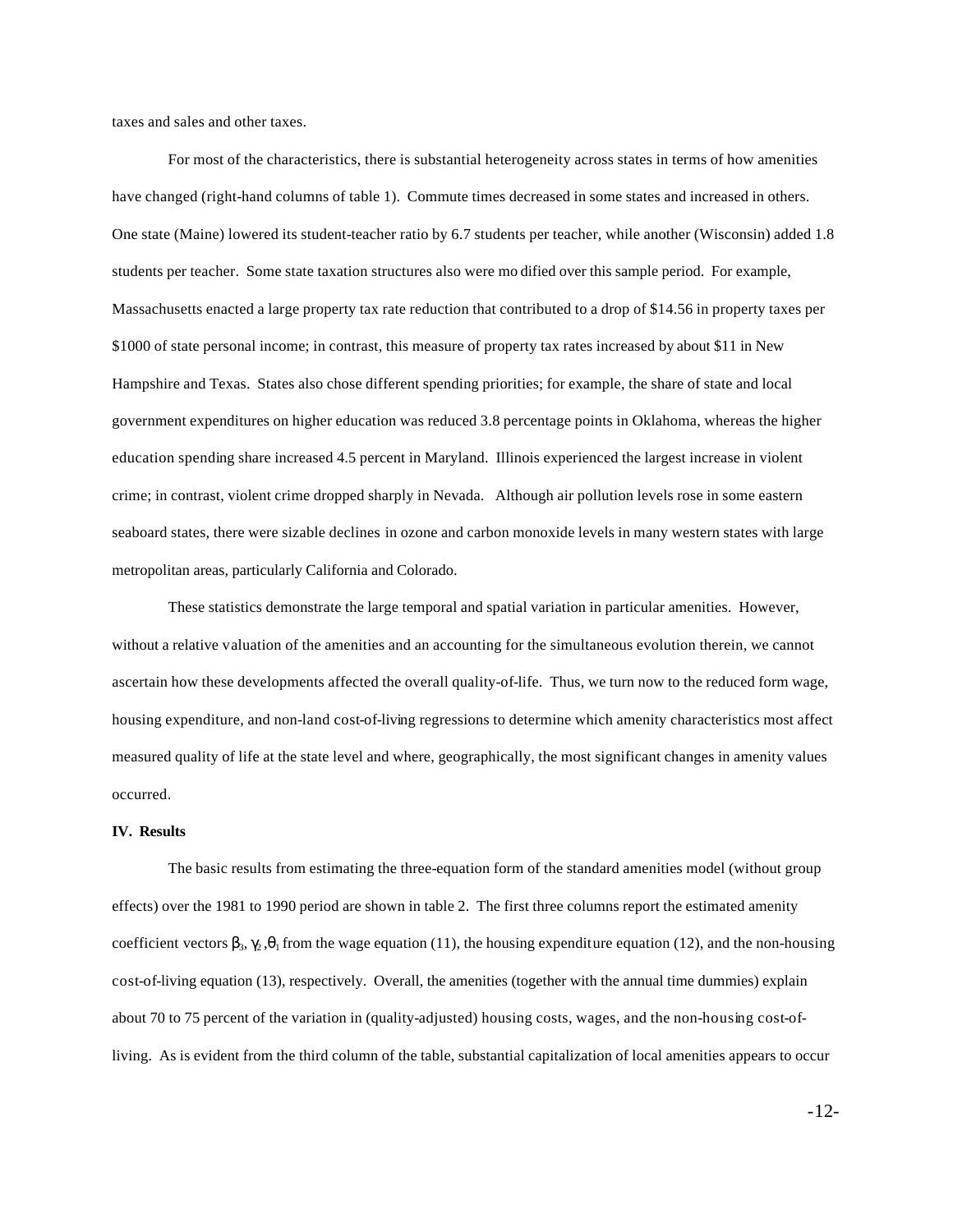taxes and sales and other taxes.

For most of the characteristics, there is substantial heterogeneity across states in terms of how amenities have changed (right-hand columns of table 1). Commute times decreased in some states and increased in others. One state (Maine) lowered its student-teacher ratio by 6.7 students per teacher, while another (Wisconsin) added 1.8 students per teacher. Some state taxation structures also were mo dified over this sample period. For example, Massachusetts enacted a large property tax rate reduction that contributed to a drop of \$14.56 in property taxes per \$1000 of state personal income; in contrast, this measure of property tax rates increased by about \$11 in New Hampshire and Texas. States also chose different spending priorities; for example, the share of state and local government expenditures on higher education was reduced 3.8 percentage points in Oklahoma, whereas the higher education spending share increased 4.5 percent in Maryland. Illinois experienced the largest increase in violent crime; in contrast, violent crime dropped sharply in Nevada. Although air pollution levels rose in some eastern seaboard states, there were sizable declines in ozone and carbon monoxide levels in many western states with large metropolitan areas, particularly California and Colorado.

These statistics demonstrate the large temporal and spatial variation in particular amenities. However, without a relative valuation of the amenities and an accounting for the simultaneous evolution therein, we cannot ascertain how these developments affected the overall quality-of-life. Thus, we turn now to the reduced form wage, housing expenditure, and non-land cost-of-living regressions to determine which amenity characteristics most affect measured quality of life at the state level and where, geographically, the most significant changes in amenity values occurred.

## **IV. Results**

The basic results from estimating the three-equation form of the standard amenities model (without group effects) over the 1981 to 1990 period are shown in table 2. The first three columns report the estimated amenity coefficient vectors  $\beta_3$ ,  $\gamma_2$ ,  $\theta_1$  from the wage equation (11), the housing expenditure equation (12), and the non-housing cost-of-living equation (13), respectively. Overall, the amenities (together with the annual time dummies) explain about 70 to 75 percent of the variation in (quality-adjusted) housing costs, wages, and the non-housing cost-ofliving. As is evident from the third column of the table, substantial capitalization of local amenities appears to occur

-12-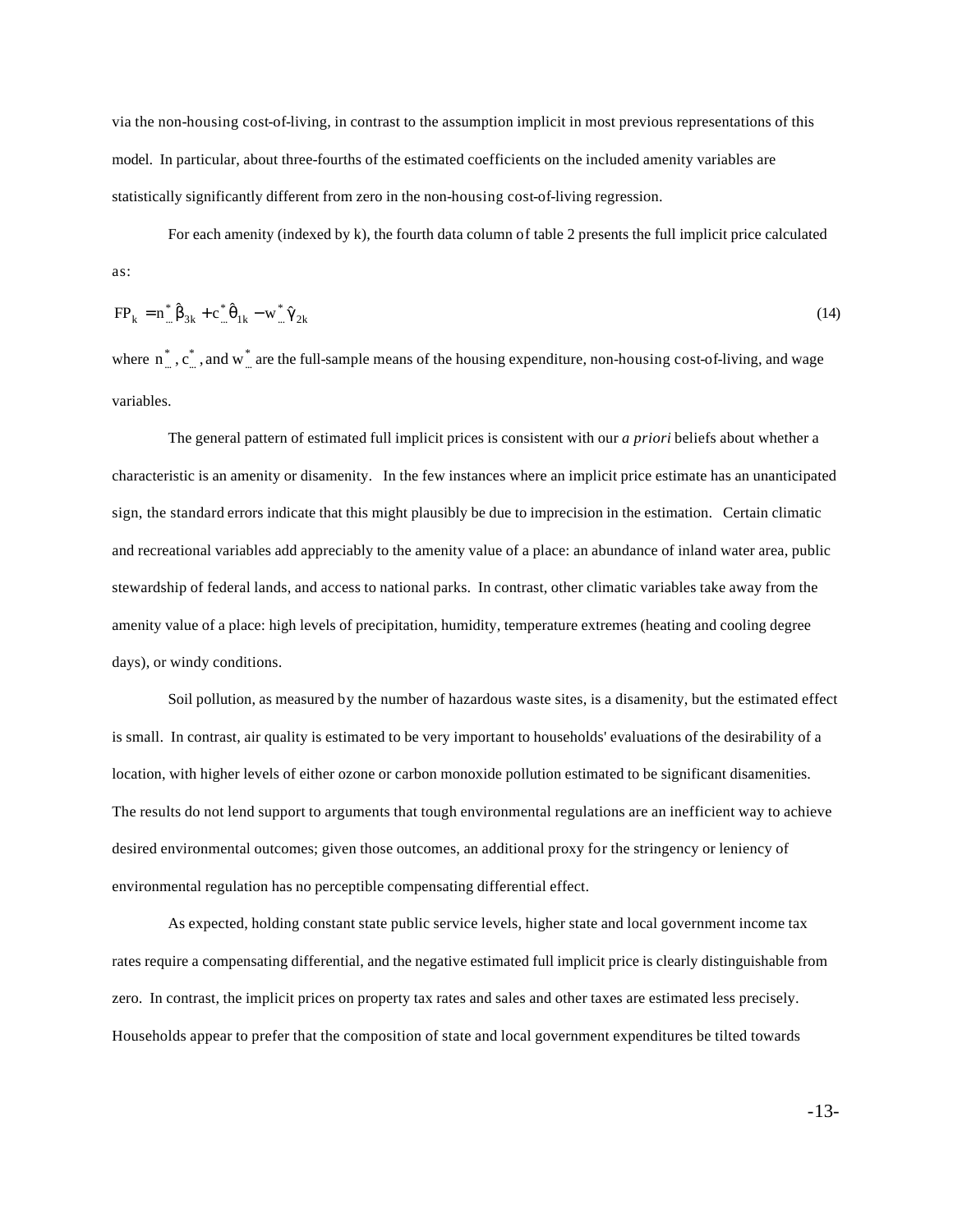via the non-housing cost-of-living, in contrast to the assumption implicit in most previous representations of this model. In particular, about three-fourths of the estimated coefficients on the included amenity variables are statistically significantly different from zero in the non-housing cost-of-living regression.

For each amenity (indexed by k), the fourth data column of table 2 presents the full implicit price calculated as:

$$
FP_k = n_{\dots}^* \hat{\beta}_{3k} + c_{\dots}^* \hat{\theta}_{1k} - w_{\dots}^* \hat{\gamma}_{2k}
$$
\n(14)

where  $n^*_{\dots}$ ,  $c^*_{\dots}$ , and w  $\stackrel{*}{\dots}$  are the full-sample means of the housing expenditure, non-housing cost-of-living, and wage variables.

The general pattern of estimated full implicit prices is consistent with our *a priori* beliefs about whether a characteristic is an amenity or disamenity. In the few instances where an implicit price estimate has an unanticipated sign, the standard errors indicate that this might plausibly be due to imprecision in the estimation. Certain climatic and recreational variables add appreciably to the amenity value of a place: an abundance of inland water area, public stewardship of federal lands, and access to national parks. In contrast, other climatic variables take away from the amenity value of a place: high levels of precipitation, humidity, temperature extremes (heating and cooling degree days), or windy conditions.

Soil pollution, as measured by the number of hazardous waste sites, is a disamenity, but the estimated effect is small. In contrast, air quality is estimated to be very important to households' evaluations of the desirability of a location, with higher levels of either ozone or carbon monoxide pollution estimated to be significant disamenities. The results do not lend support to arguments that tough environmental regulations are an inefficient way to achieve desired environmental outcomes; given those outcomes, an additional proxy for the stringency or leniency of environmental regulation has no perceptible compensating differential effect.

As expected, holding constant state public service levels, higher state and local government income tax rates require a compensating differential, and the negative estimated full implicit price is clearly distinguishable from zero. In contrast, the implicit prices on property tax rates and sales and other taxes are estimated less precisely. Households appear to prefer that the composition of state and local government expenditures be tilted towards

-13-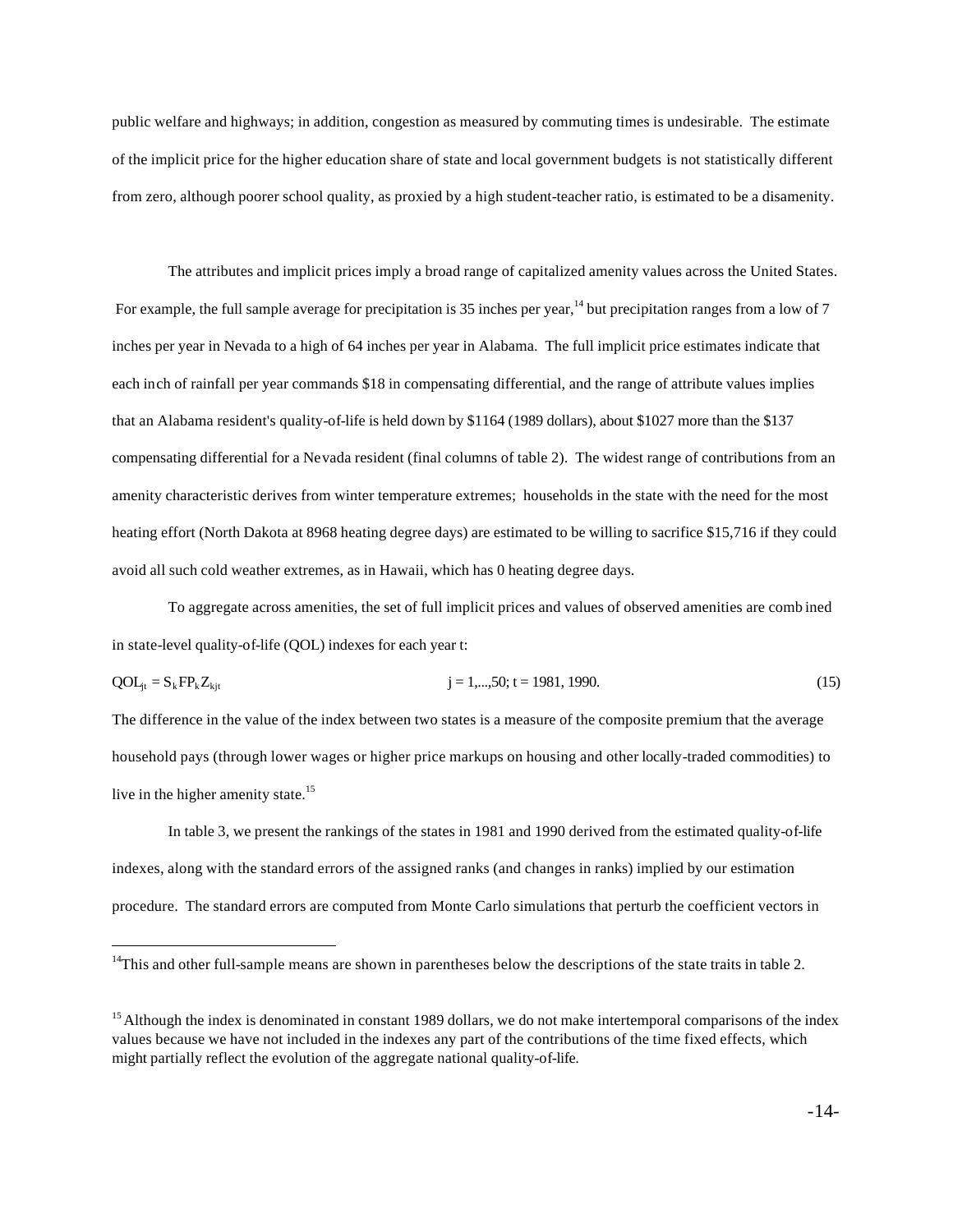public welfare and highways; in addition, congestion as measured by commuting times is undesirable. The estimate of the implicit price for the higher education share of state and local government budgets is not statistically different from zero, although poorer school quality, as proxied by a high student-teacher ratio, is estimated to be a disamenity.

The attributes and implicit prices imply a broad range of capitalized amenity values across the United States. For example, the full sample average for precipitation is 35 inches per year,<sup>14</sup> but precipitation ranges from a low of 7 inches per year in Nevada to a high of 64 inches per year in Alabama. The full implicit price estimates indicate that each inch of rainfall per year commands \$18 in compensating differential, and the range of attribute values implies that an Alabama resident's quality-of-life is held down by \$1164 (1989 dollars), about \$1027 more than the \$137 compensating differential for a Nevada resident (final columns of table 2). The widest range of contributions from an amenity characteristic derives from winter temperature extremes; households in the state with the need for the most heating effort (North Dakota at 8968 heating degree days) are estimated to be willing to sacrifice \$15,716 if they could avoid all such cold weather extremes, as in Hawaii, which has 0 heating degree days.

To aggregate across amenities, the set of full implicit prices and values of observed amenities are comb ined in state-level quality-of-life (QOL) indexes for each year t:

$$
QOL_{jt} = S_kFP_kZ_{kjt}
$$
 (15)  $j = 1,...,50; t = 1981, 1990.$ 

The difference in the value of the index between two states is a measure of the composite premium that the average household pays (through lower wages or higher price markups on housing and other locally-traded commodities) to live in the higher amenity state.<sup>15</sup>

In table 3, we present the rankings of the states in 1981 and 1990 derived from the estimated quality-of-life indexes, along with the standard errors of the assigned ranks (and changes in ranks) implied by our estimation procedure. The standard errors are computed from Monte Carlo simulations that perturb the coefficient vectors in

 $14$ This and other full-sample means are shown in parentheses below the descriptions of the state traits in table 2.

<sup>&</sup>lt;sup>15</sup> Although the index is denominated in constant 1989 dollars, we do not make intertemporal comparisons of the index values because we have not included in the indexes any part of the contributions of the time fixed effects, which might partially reflect the evolution of the aggregate national quality-of-life.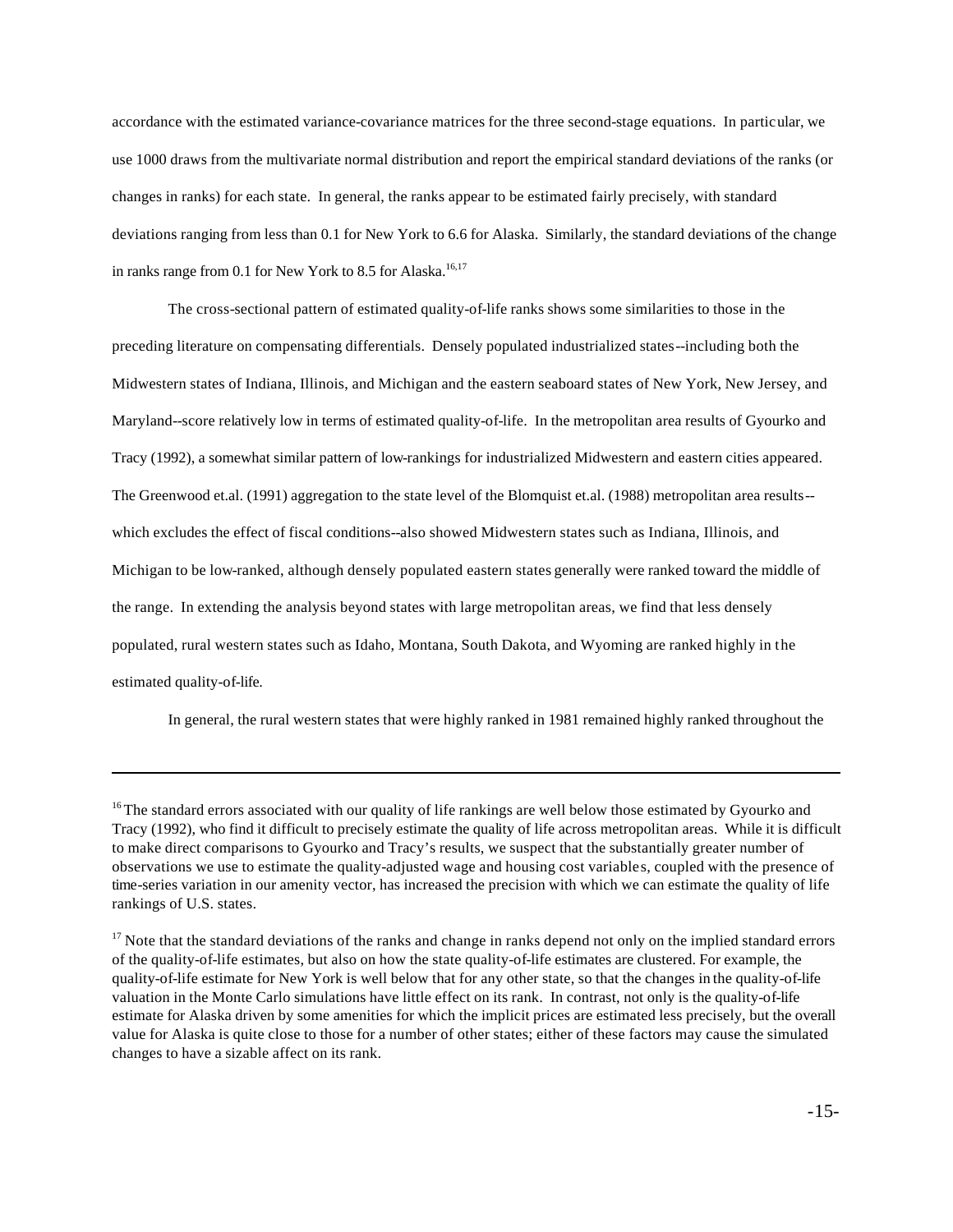accordance with the estimated variance-covariance matrices for the three second-stage equations. In particular, we use 1000 draws from the multivariate normal distribution and report the empirical standard deviations of the ranks (or changes in ranks) for each state. In general, the ranks appear to be estimated fairly precisely, with standard deviations ranging from less than 0.1 for New York to 6.6 for Alaska. Similarly, the standard deviations of the change in ranks range from 0.1 for New York to 8.5 for Alaska.<sup>16,17</sup>

The cross-sectional pattern of estimated quality-of-life ranks shows some similarities to those in the preceding literature on compensating differentials. Densely populated industrialized states--including both the Midwestern states of Indiana, Illinois, and Michigan and the eastern seaboard states of New York, New Jersey, and Maryland--score relatively low in terms of estimated quality-of-life. In the metropolitan area results of Gyourko and Tracy (1992), a somewhat similar pattern of low-rankings for industrialized Midwestern and eastern cities appeared. The Greenwood et.al. (1991) aggregation to the state level of the Blomquist et.al. (1988) metropolitan area results- which excludes the effect of fiscal conditions--also showed Midwestern states such as Indiana, Illinois, and Michigan to be low-ranked, although densely populated eastern states generally were ranked toward the middle of the range. In extending the analysis beyond states with large metropolitan areas, we find that less densely populated, rural western states such as Idaho, Montana, South Dakota, and Wyoming are ranked highly in the estimated quality-of-life.

In general, the rural western states that were highly ranked in 1981 remained highly ranked throughout the

<sup>&</sup>lt;sup>16</sup> The standard errors associated with our quality of life rankings are well below those estimated by Gyourko and Tracy (1992), who find it difficult to precisely estimate the quality of life across metropolitan areas. While it is difficult to make direct comparisons to Gyourko and Tracy's results, we suspect that the substantially greater number of observations we use to estimate the quality-adjusted wage and housing cost variables, coupled with the presence of time-series variation in our amenity vector, has increased the precision with which we can estimate the quality of life rankings of U.S. states.

<sup>&</sup>lt;sup>17</sup> Note that the standard deviations of the ranks and change in ranks depend not only on the implied standard errors of the quality-of-life estimates, but also on how the state quality-of-life estimates are clustered. For example, the quality-of-life estimate for New York is well below that for any other state, so that the changes in the quality-of-life valuation in the Monte Carlo simulations have little effect on its rank. In contrast, not only is the quality-of-life estimate for Alaska driven by some amenities for which the implicit prices are estimated less precisely, but the overall value for Alaska is quite close to those for a number of other states; either of these factors may cause the simulated changes to have a sizable affect on its rank.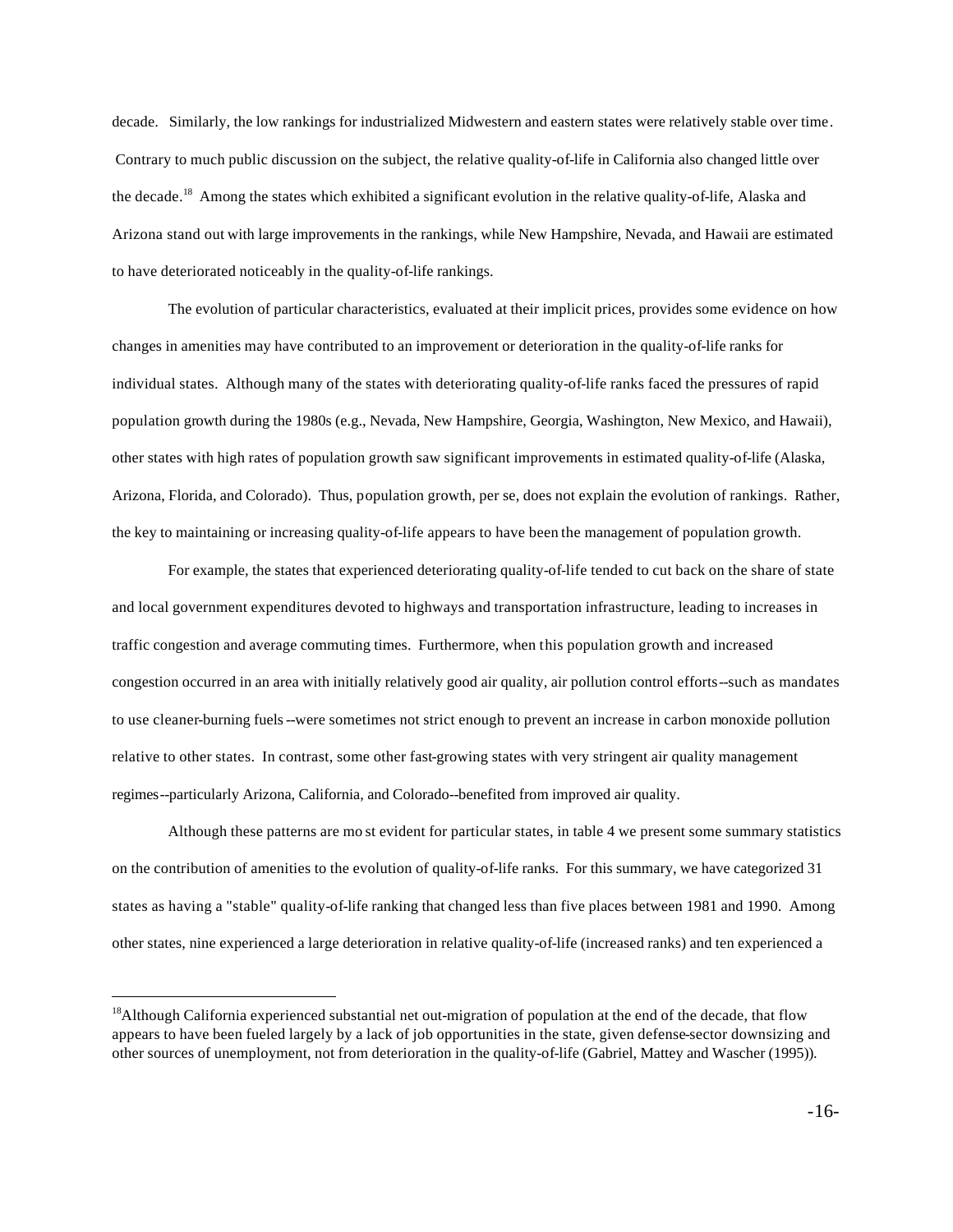decade. Similarly, the low rankings for industrialized Midwestern and eastern states were relatively stable over time. Contrary to much public discussion on the subject, the relative quality-of-life in California also changed little over the decade.<sup>18</sup> Among the states which exhibited a significant evolution in the relative quality-of-life, Alaska and Arizona stand out with large improvements in the rankings, while New Hampshire, Nevada, and Hawaii are estimated to have deteriorated noticeably in the quality-of-life rankings.

The evolution of particular characteristics, evaluated at their implicit prices, provides some evidence on how changes in amenities may have contributed to an improvement or deterioration in the quality-of-life ranks for individual states. Although many of the states with deteriorating quality-of-life ranks faced the pressures of rapid population growth during the 1980s (e.g., Nevada, New Hampshire, Georgia, Washington, New Mexico, and Hawaii), other states with high rates of population growth saw significant improvements in estimated quality-of-life (Alaska, Arizona, Florida, and Colorado). Thus, population growth, per se, does not explain the evolution of rankings. Rather, the key to maintaining or increasing quality-of-life appears to have been the management of population growth.

For example, the states that experienced deteriorating quality-of-life tended to cut back on the share of state and local government expenditures devoted to highways and transportation infrastructure, leading to increases in traffic congestion and average commuting times. Furthermore, when this population growth and increased congestion occurred in an area with initially relatively good air quality, air pollution control efforts--such as mandates to use cleaner-burning fuels--were sometimes not strict enough to prevent an increase in carbon monoxide pollution relative to other states. In contrast, some other fast-growing states with very stringent air quality management regimes--particularly Arizona, California, and Colorado--benefited from improved air quality.

Although these patterns are mo st evident for particular states, in table 4 we present some summary statistics on the contribution of amenities to the evolution of quality-of-life ranks. For this summary, we have categorized 31 states as having a "stable" quality-of-life ranking that changed less than five places between 1981 and 1990. Among other states, nine experienced a large deterioration in relative quality-of-life (increased ranks) and ten experienced a

<sup>&</sup>lt;sup>18</sup>Although California experienced substantial net out-migration of population at the end of the decade, that flow appears to have been fueled largely by a lack of job opportunities in the state, given defense-sector downsizing and other sources of unemployment, not from deterioration in the quality-of-life (Gabriel, Mattey and Wascher (1995)).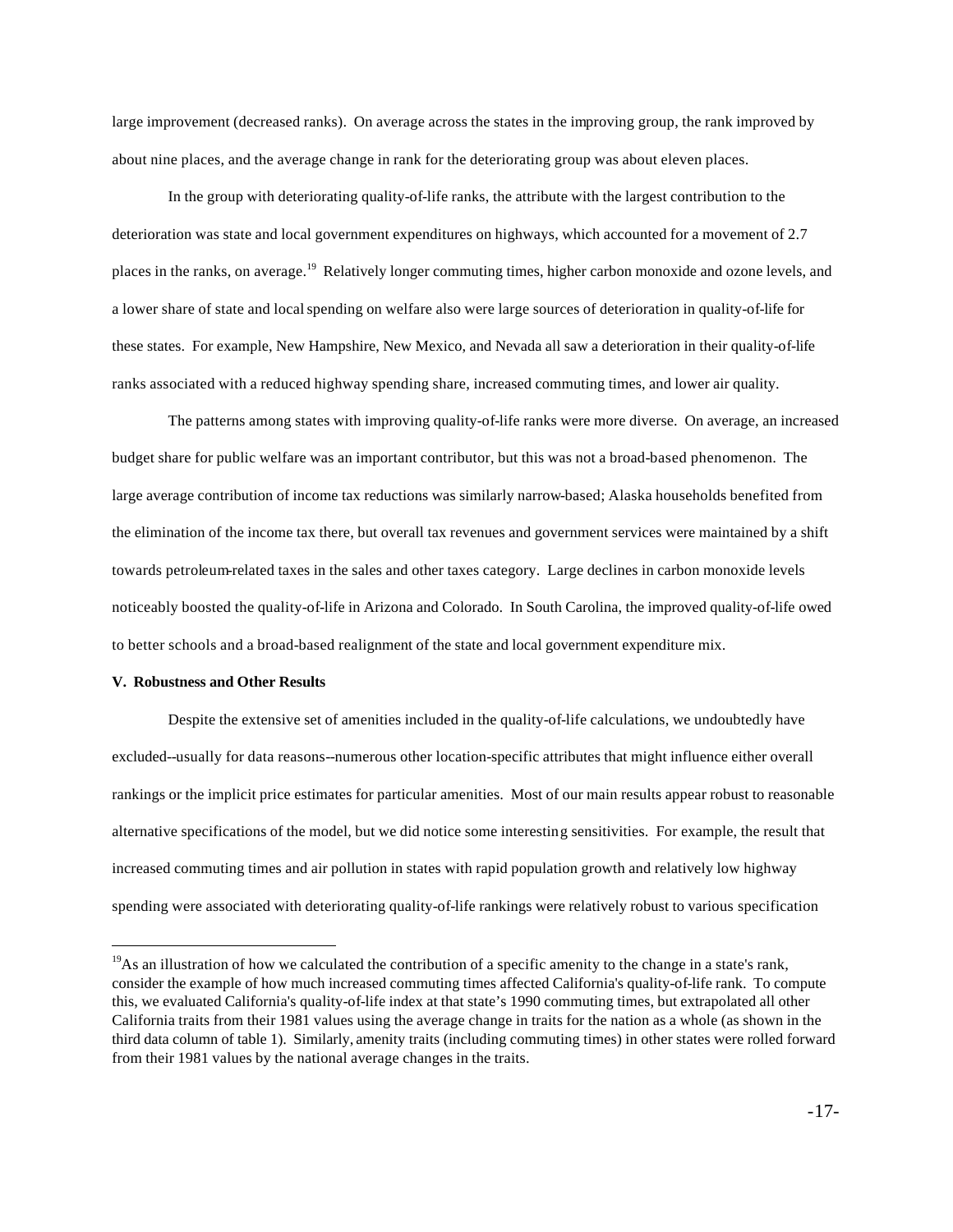large improvement (decreased ranks). On average across the states in the improving group, the rank improved by about nine places, and the average change in rank for the deteriorating group was about eleven places.

In the group with deteriorating quality-of-life ranks, the attribute with the largest contribution to the deterioration was state and local government expenditures on highways, which accounted for a movement of 2.7 places in the ranks, on average.<sup>19</sup> Relatively longer commuting times, higher carbon monoxide and ozone levels, and a lower share of state and local spending on welfare also were large sources of deterioration in quality-of-life for these states. For example, New Hampshire, New Mexico, and Nevada all saw a deterioration in their quality-of-life ranks associated with a reduced highway spending share, increased commuting times, and lower air quality.

The patterns among states with improving quality-of-life ranks were more diverse. On average, an increased budget share for public welfare was an important contributor, but this was not a broad-based phenomenon. The large average contribution of income tax reductions was similarly narrow-based; Alaska households benefited from the elimination of the income tax there, but overall tax revenues and government services were maintained by a shift towards petroleum-related taxes in the sales and other taxes category. Large declines in carbon monoxide levels noticeably boosted the quality-of-life in Arizona and Colorado. In South Carolina, the improved quality-of-life owed to better schools and a broad-based realignment of the state and local government expenditure mix.

### **V. Robustness and Other Results**

i

Despite the extensive set of amenities included in the quality-of-life calculations, we undoubtedly have excluded--usually for data reasons--numerous other location-specific attributes that might influence either overall rankings or the implicit price estimates for particular amenities. Most of our main results appear robust to reasonable alternative specifications of the model, but we did notice some interesting sensitivities. For example, the result that increased commuting times and air pollution in states with rapid population growth and relatively low highway spending were associated with deteriorating quality-of-life rankings were relatively robust to various specification

 $19As$  an illustration of how we calculated the contribution of a specific amenity to the change in a state's rank, consider the example of how much increased commuting times affected California's quality-of-life rank. To compute this, we evaluated California's quality-of-life index at that state's 1990 commuting times, but extrapolated all other California traits from their 1981 values using the average change in traits for the nation as a whole (as shown in the third data column of table 1). Similarly, amenity traits (including commuting times) in other states were rolled forward from their 1981 values by the national average changes in the traits.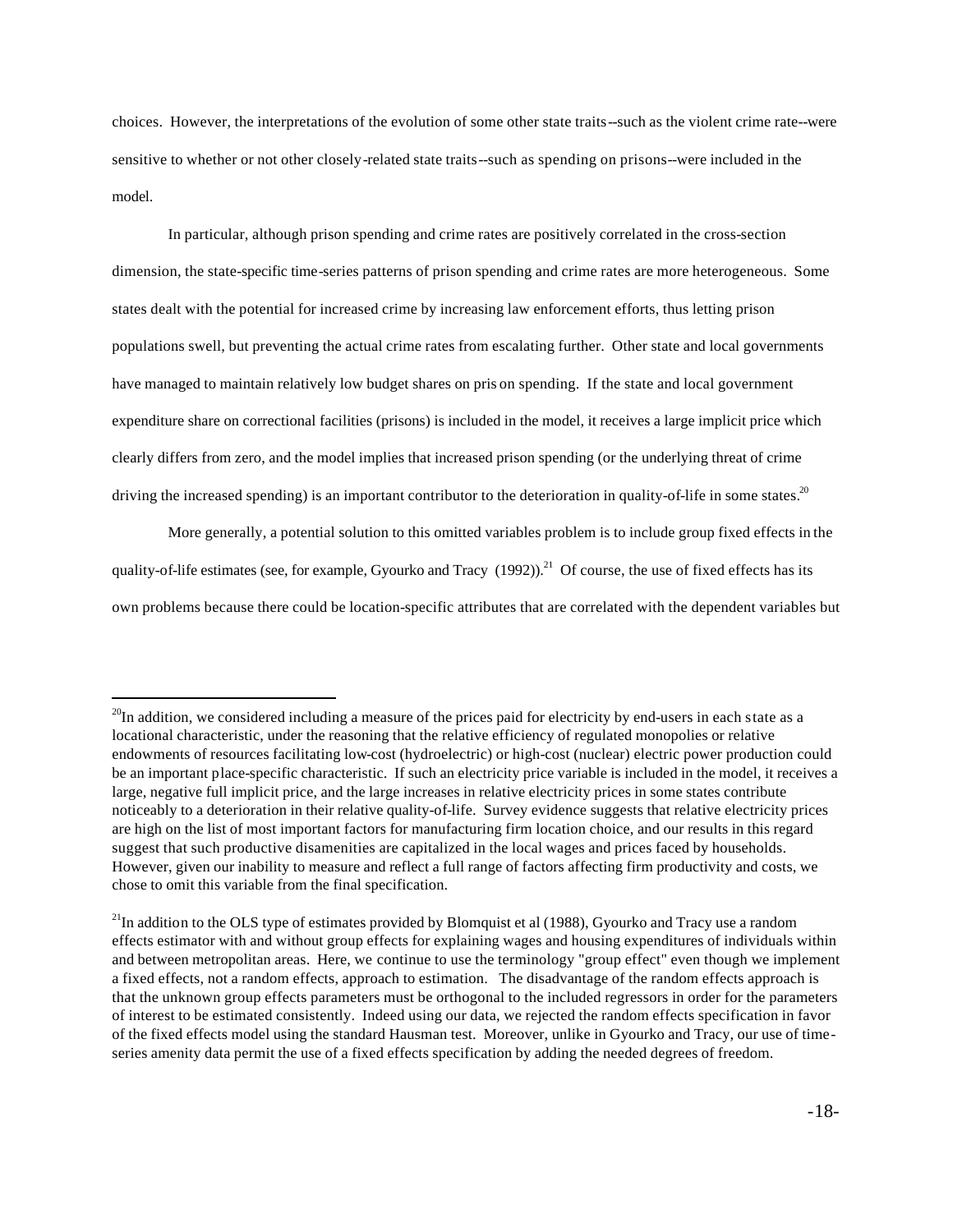choices. However, the interpretations of the evolution of some other state traits--such as the violent crime rate--were sensitive to whether or not other closely-related state traits--such as spending on prisons--were included in the model.

In particular, although prison spending and crime rates are positively correlated in the cross-section dimension, the state-specific time-series patterns of prison spending and crime rates are more heterogeneous. Some states dealt with the potential for increased crime by increasing law enforcement efforts, thus letting prison populations swell, but preventing the actual crime rates from escalating further. Other state and local governments have managed to maintain relatively low budget shares on pris on spending. If the state and local government expenditure share on correctional facilities (prisons) is included in the model, it receives a large implicit price which clearly differs from zero, and the model implies that increased prison spending (or the underlying threat of crime driving the increased spending) is an important contributor to the deterioration in quality-of-life in some states.<sup>20</sup>

More generally, a potential solution to this omitted variables problem is to include group fixed effects in the quality-of-life estimates (see, for example, Gyourko and Tracy  $(1992)$ ).<sup>21</sup> Of course, the use of fixed effects has its own problems because there could be location-specific attributes that are correlated with the dependent variables but

 $^{20}$ In addition, we considered including a measure of the prices paid for electricity by end-users in each state as a locational characteristic, under the reasoning that the relative efficiency of regulated monopolies or relative endowments of resources facilitating low-cost (hydroelectric) or high-cost (nuclear) electric power production could be an important place-specific characteristic. If such an electricity price variable is included in the model, it receives a large, negative full implicit price, and the large increases in relative electricity prices in some states contribute noticeably to a deterioration in their relative quality-of-life. Survey evidence suggests that relative electricity prices are high on the list of most important factors for manufacturing firm location choice, and our results in this regard suggest that such productive disamenities are capitalized in the local wages and prices faced by households. However, given our inability to measure and reflect a full range of factors affecting firm productivity and costs, we chose to omit this variable from the final specification.

<sup>&</sup>lt;sup>21</sup>In addition to the OLS type of estimates provided by Blomquist et al (1988), Gyourko and Tracy use a random effects estimator with and without group effects for explaining wages and housing expenditures of individuals within and between metropolitan areas. Here, we continue to use the terminology "group effect" even though we implement a fixed effects, not a random effects, approach to estimation. The disadvantage of the random effects approach is that the unknown group effects parameters must be orthogonal to the included regressors in order for the parameters of interest to be estimated consistently. Indeed using our data, we rejected the random effects specification in favor of the fixed effects model using the standard Hausman test. Moreover, unlike in Gyourko and Tracy, our use of timeseries amenity data permit the use of a fixed effects specification by adding the needed degrees of freedom.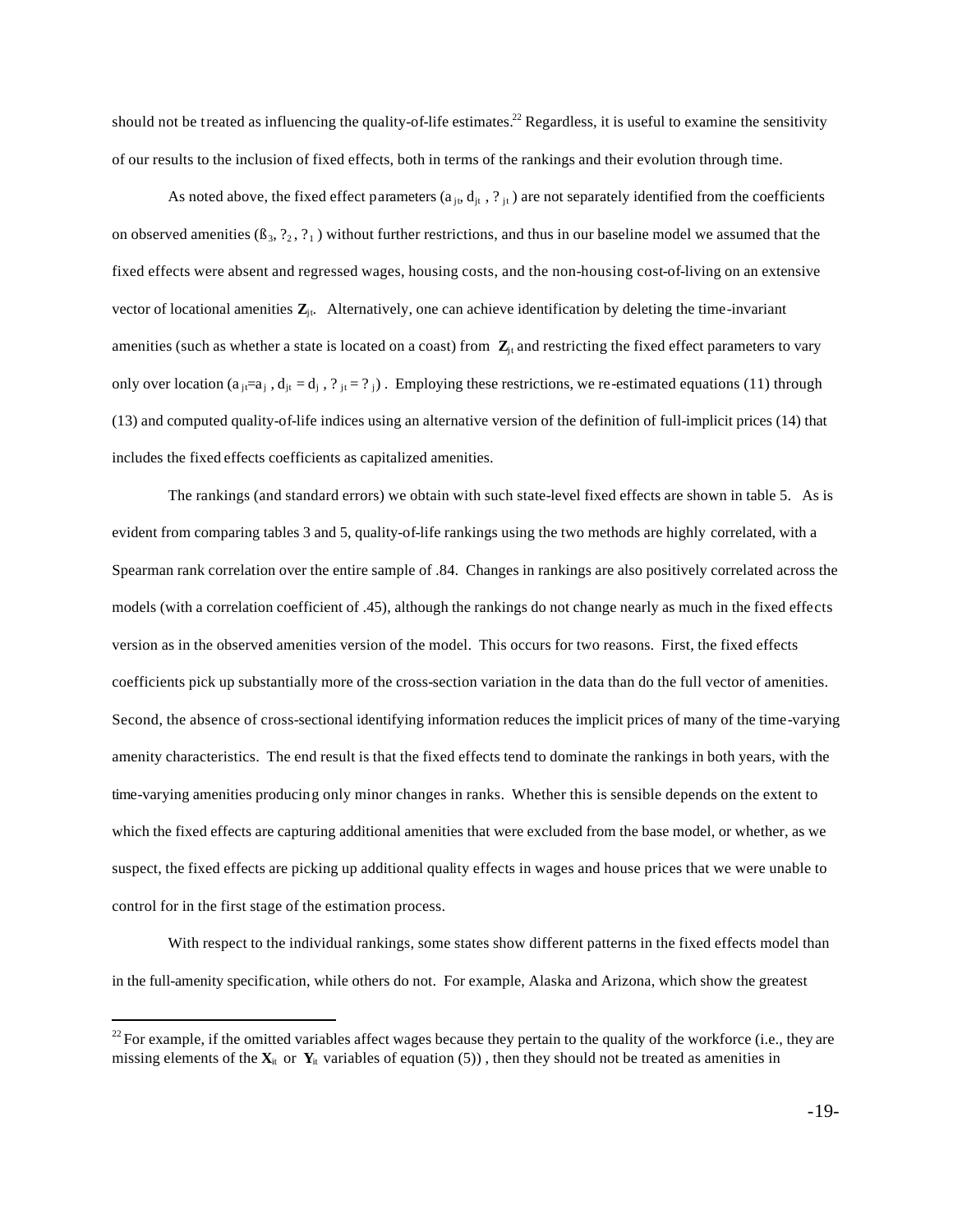should not be treated as influencing the quality-of-life estimates.<sup>22</sup> Regardless, it is useful to examine the sensitivity of our results to the inclusion of fixed effects, both in terms of the rankings and their evolution through time.

As noted above, the fixed effect parameters  $(a_{it}, d_{it}, ?_{it})$  are not separately identified from the coefficients on observed amenities  $(\beta_3, \gamma_2, \gamma_1)$  without further restrictions, and thus in our baseline model we assumed that the fixed effects were absent and regressed wages, housing costs, and the non-housing cost-of-living on an extensive vector of locational amenities  $\mathbf{Z}_{i}$ . Alternatively, one can achieve identification by deleting the time-invariant amenities (such as whether a state is located on a coast) from  $\mathbf{Z}_{i}$  and restricting the fixed effect parameters to vary only over location ( $a_{i} = a_{j}$ ,  $d_{i} = d_{j}$ ,  $?_{i} = ?_{j}$ ). Employing these restrictions, we re-estimated equations (11) through (13) and computed quality-of-life indices using an alternative version of the definition of full-implicit prices (14) that includes the fixed effects coefficients as capitalized amenities.

The rankings (and standard errors) we obtain with such state-level fixed effects are shown in table 5. As is evident from comparing tables 3 and 5, quality-of-life rankings using the two methods are highly correlated, with a Spearman rank correlation over the entire sample of .84. Changes in rankings are also positively correlated across the models (with a correlation coefficient of .45), although the rankings do not change nearly as much in the fixed effects version as in the observed amenities version of the model. This occurs for two reasons. First, the fixed effects coefficients pick up substantially more of the cross-section variation in the data than do the full vector of amenities. Second, the absence of cross-sectional identifying information reduces the implicit prices of many of the time-varying amenity characteristics. The end result is that the fixed effects tend to dominate the rankings in both years, with the time-varying amenities producing only minor changes in ranks. Whether this is sensible depends on the extent to which the fixed effects are capturing additional amenities that were excluded from the base model, or whether, as we suspect, the fixed effects are picking up additional quality effects in wages and house prices that we were unable to control for in the first stage of the estimation process.

With respect to the individual rankings, some states show different patterns in the fixed effects model than in the full-amenity specification, while others do not. For example, Alaska and Arizona, which show the greatest

 $22$  For example, if the omitted variables affect wages because they pertain to the quality of the workforce (i.e., they are missing elements of the  $X_i$  or  $Y_i$  variables of equation (5)), then they should not be treated as amenities in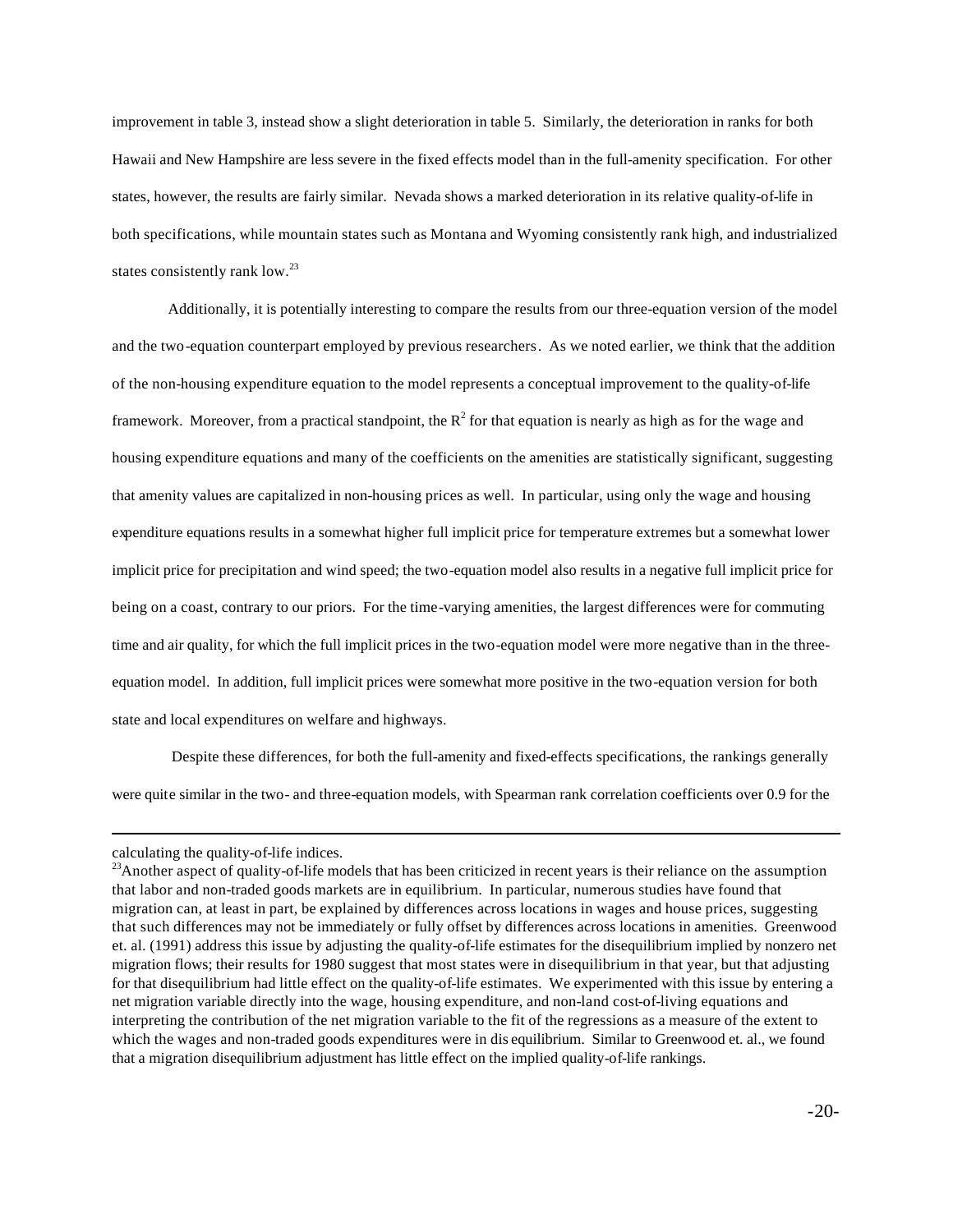improvement in table 3, instead show a slight deterioration in table 5. Similarly, the deterioration in ranks for both Hawaii and New Hampshire are less severe in the fixed effects model than in the full-amenity specification. For other states, however, the results are fairly similar. Nevada shows a marked deterioration in its relative quality-of-life in both specifications, while mountain states such as Montana and Wyoming consistently rank high, and industrialized states consistently rank low. $^{23}$ 

Additionally, it is potentially interesting to compare the results from our three-equation version of the model and the two-equation counterpart employed by previous researchers. As we noted earlier, we think that the addition of the non-housing expenditure equation to the model represents a conceptual improvement to the quality-of-life framework. Moreover, from a practical standpoint, the  $R^2$  for that equation is nearly as high as for the wage and housing expenditure equations and many of the coefficients on the amenities are statistically significant, suggesting that amenity values are capitalized in non-housing prices as well. In particular, using only the wage and housing expenditure equations results in a somewhat higher full implicit price for temperature extremes but a somewhat lower implicit price for precipitation and wind speed; the two-equation model also results in a negative full implicit price for being on a coast, contrary to our priors. For the time-varying amenities, the largest differences were for commuting time and air quality, for which the full implicit prices in the two-equation model were more negative than in the threeequation model. In addition, full implicit prices were somewhat more positive in the two-equation version for both state and local expenditures on welfare and highways.

 Despite these differences, for both the full-amenity and fixed-effects specifications, the rankings generally were quite similar in the two- and three-equation models, with Spearman rank correlation coefficients over 0.9 for the

calculating the quality-of-life indices.

 $23$ Another aspect of quality-of-life models that has been criticized in recent years is their reliance on the assumption that labor and non-traded goods markets are in equilibrium. In particular, numerous studies have found that migration can, at least in part, be explained by differences across locations in wages and house prices, suggesting that such differences may not be immediately or fully offset by differences across locations in amenities. Greenwood et. al. (1991) address this issue by adjusting the quality-of-life estimates for the disequilibrium implied by nonzero net migration flows; their results for 1980 suggest that most states were in disequilibrium in that year, but that adjusting for that disequilibrium had little effect on the quality-of-life estimates. We experimented with this issue by entering a net migration variable directly into the wage, housing expenditure, and non-land cost-of-living equations and interpreting the contribution of the net migration variable to the fit of the regressions as a measure of the extent to which the wages and non-traded goods expenditures were in dis equilibrium. Similar to Greenwood et. al., we found that a migration disequilibrium adjustment has little effect on the implied quality-of-life rankings.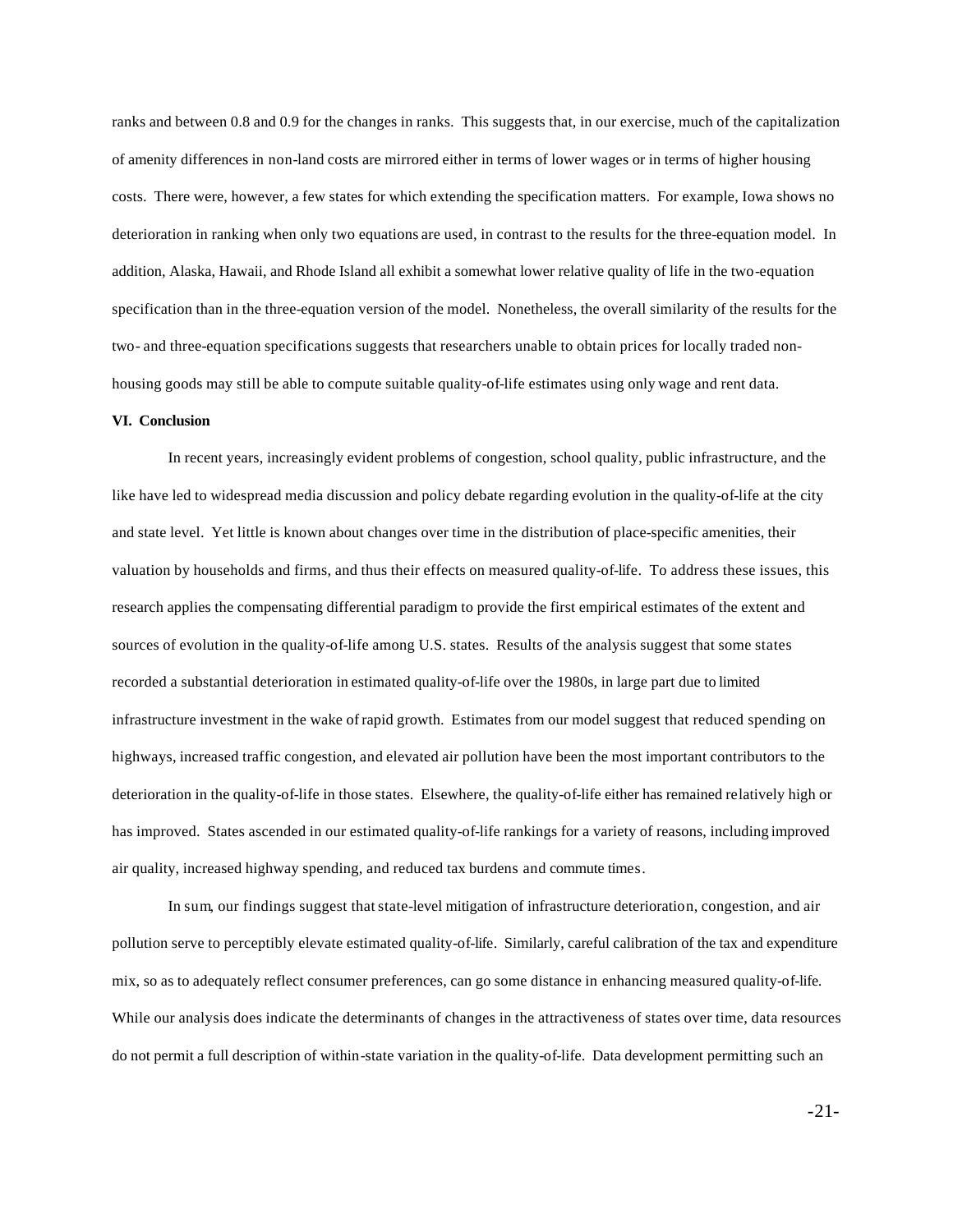ranks and between 0.8 and 0.9 for the changes in ranks. This suggests that, in our exercise, much of the capitalization of amenity differences in non-land costs are mirrored either in terms of lower wages or in terms of higher housing costs. There were, however, a few states for which extending the specification matters. For example, Iowa shows no deterioration in ranking when only two equations are used, in contrast to the results for the three-equation model. In addition, Alaska, Hawaii, and Rhode Island all exhibit a somewhat lower relative quality of life in the two-equation specification than in the three-equation version of the model. Nonetheless, the overall similarity of the results for the two- and three-equation specifications suggests that researchers unable to obtain prices for locally traded nonhousing goods may still be able to compute suitable quality-of-life estimates using only wage and rent data.

#### **VI. Conclusion**

In recent years, increasingly evident problems of congestion, school quality, public infrastructure, and the like have led to widespread media discussion and policy debate regarding evolution in the quality-of-life at the city and state level. Yet little is known about changes over time in the distribution of place-specific amenities, their valuation by households and firms, and thus their effects on measured quality-of-life. To address these issues, this research applies the compensating differential paradigm to provide the first empirical estimates of the extent and sources of evolution in the quality-of-life among U.S. states. Results of the analysis suggest that some states recorded a substantial deterioration in estimated quality-of-life over the 1980s, in large part due to limited infrastructure investment in the wake of rapid growth. Estimates from our model suggest that reduced spending on highways, increased traffic congestion, and elevated air pollution have been the most important contributors to the deterioration in the quality-of-life in those states. Elsewhere, the quality-of-life either has remained relatively high or has improved. States ascended in our estimated quality-of-life rankings for a variety of reasons, including improved air quality, increased highway spending, and reduced tax burdens and commute times.

In sum, our findings suggest that state-level mitigation of infrastructure deterioration, congestion, and air pollution serve to perceptibly elevate estimated quality-of-life. Similarly, careful calibration of the tax and expenditure mix, so as to adequately reflect consumer preferences, can go some distance in enhancing measured quality-of-life. While our analysis does indicate the determinants of changes in the attractiveness of states over time, data resources do not permit a full description of within-state variation in the quality-of-life. Data development permitting such an

-21-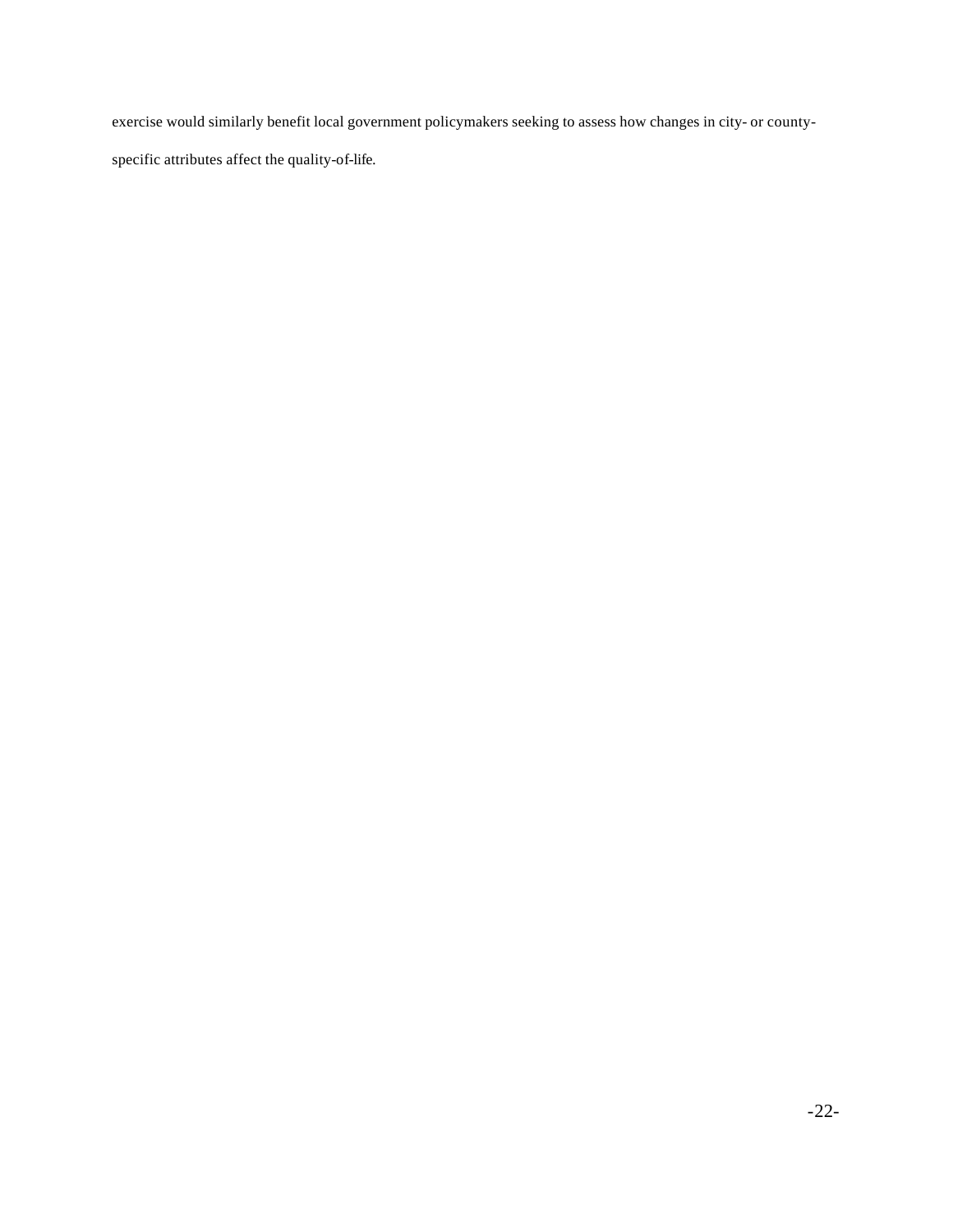exercise would similarly benefit local government policymakers seeking to assess how changes in city- or countyspecific attributes affect the quality-of-life.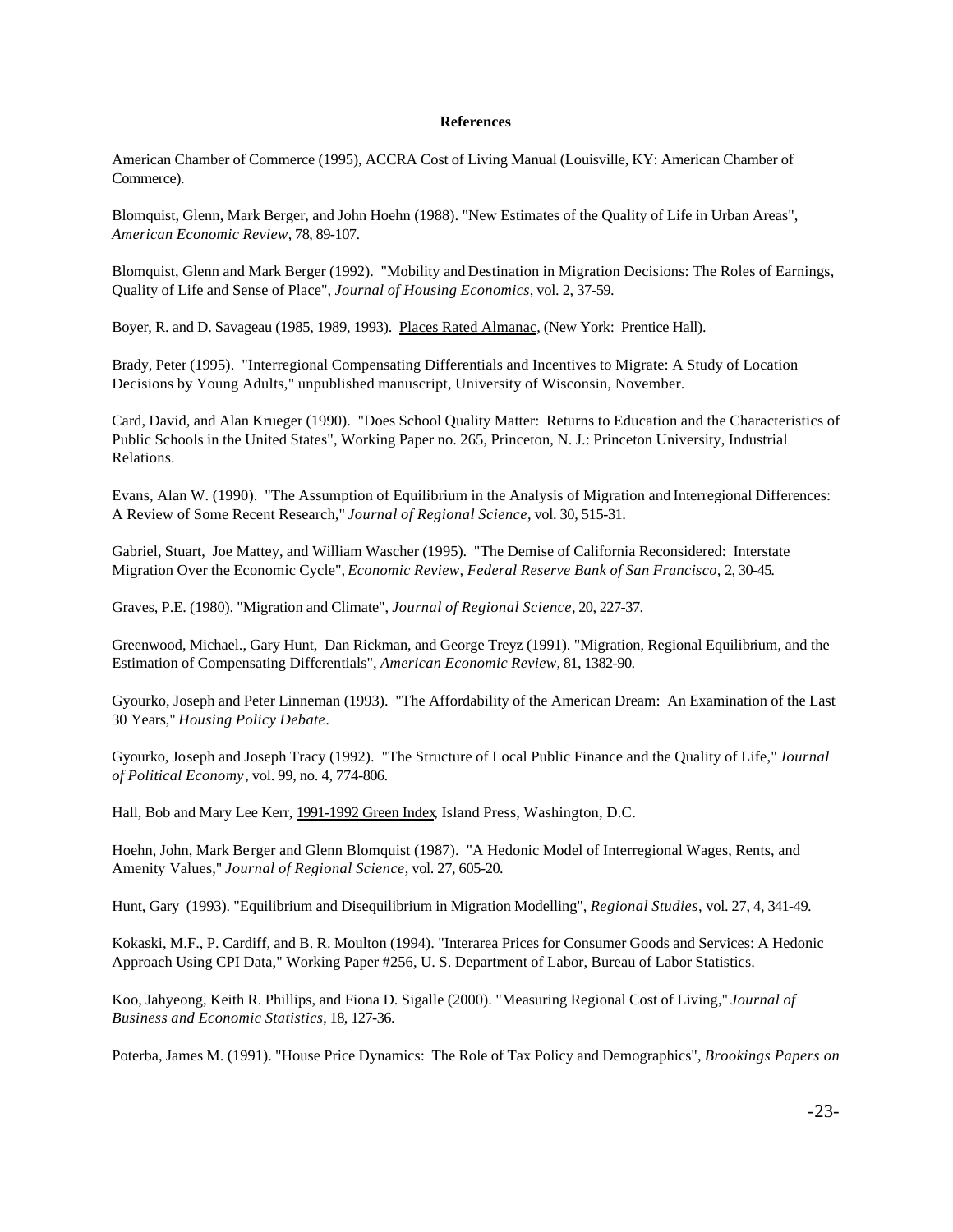#### **References**

American Chamber of Commerce (1995), ACCRA Cost of Living Manual (Louisville, KY: American Chamber of Commerce).

Blomquist, Glenn, Mark Berger, and John Hoehn (1988). "New Estimates of the Quality of Life in Urban Areas", *American Economic Review*, 78, 89-107.

Blomquist, Glenn and Mark Berger (1992). "Mobility and Destination in Migration Decisions: The Roles of Earnings, Quality of Life and Sense of Place", *Journal of Housing Economics*, vol. 2, 37-59.

Boyer, R. and D. Savageau (1985, 1989, 1993). Places Rated Almanac, (New York: Prentice Hall).

Brady, Peter (1995). "Interregional Compensating Differentials and Incentives to Migrate: A Study of Location Decisions by Young Adults," unpublished manuscript, University of Wisconsin, November.

Card, David, and Alan Krueger (1990). "Does School Quality Matter: Returns to Education and the Characteristics of Public Schools in the United States", Working Paper no. 265, Princeton, N. J.: Princeton University, Industrial Relations.

Evans, Alan W. (1990). "The Assumption of Equilibrium in the Analysis of Migration and Interregional Differences: A Review of Some Recent Research," *Journal of Regional Science*, vol. 30, 515-31.

Gabriel, Stuart, Joe Mattey, and William Wascher (1995). "The Demise of California Reconsidered: Interstate Migration Over the Economic Cycle", *Economic Review, Federal Reserve Bank of San Francisco,* 2, 30-45*.*

Graves, P.E. (1980). "Migration and Climate", *Journal of Regional Science*, 20, 227-37.

Greenwood, Michael., Gary Hunt, Dan Rickman, and George Treyz (1991). "Migration, Regional Equilibrium, and the Estimation of Compensating Differentials", *American Economic Review*, 81, 1382-90.

Gyourko, Joseph and Peter Linneman (1993). "The Affordability of the American Dream: An Examination of the Last 30 Years," *Housing Policy Debate*.

Gyourko, Joseph and Joseph Tracy (1992). "The Structure of Local Public Finance and the Quality of Life," *Journal of Political Economy*, vol. 99, no. 4, 774-806.

Hall, Bob and Mary Lee Kerr, 1991-1992 Green Index, Island Press, Washington, D.C.

Hoehn, John, Mark Berger and Glenn Blomquist (1987). "A Hedonic Model of Interregional Wages, Rents, and Amenity Values," *Journal of Regional Science*, vol. 27, 605-20.

Hunt, Gary (1993). "Equilibrium and Disequilibrium in Migration Modelling", *Regional Studies,* vol. 27, 4, 341-49.

Kokaski, M.F., P. Cardiff, and B. R. Moulton (1994). "Interarea Prices for Consumer Goods and Services: A Hedonic Approach Using CPI Data," Working Paper #256, U. S. Department of Labor, Bureau of Labor Statistics.

Koo, Jahyeong, Keith R. Phillips, and Fiona D. Sigalle (2000). "Measuring Regional Cost of Living," *Journal of Business and Economic Statistics*, 18, 127-36.

Poterba, James M. (1991). "House Price Dynamics: The Role of Tax Policy and Demographics", *Brookings Papers on*